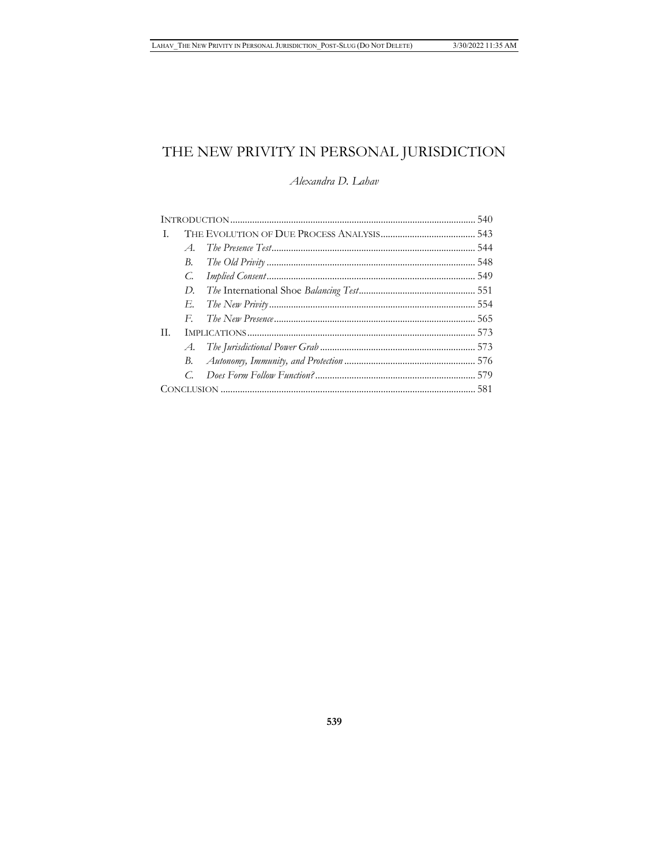# THE NEW PRIVITY IN PERSONAL JURISDICTION

# Alexandra D. Lahav

| Т. |                       |  |  |
|----|-----------------------|--|--|
|    | $\mathcal{A}_{\cdot}$ |  |  |
|    | B.                    |  |  |
|    | C.                    |  |  |
|    | D.                    |  |  |
|    |                       |  |  |
|    | $F_{\cdot}$           |  |  |
| H. |                       |  |  |
|    |                       |  |  |
|    |                       |  |  |
|    | C.                    |  |  |
|    |                       |  |  |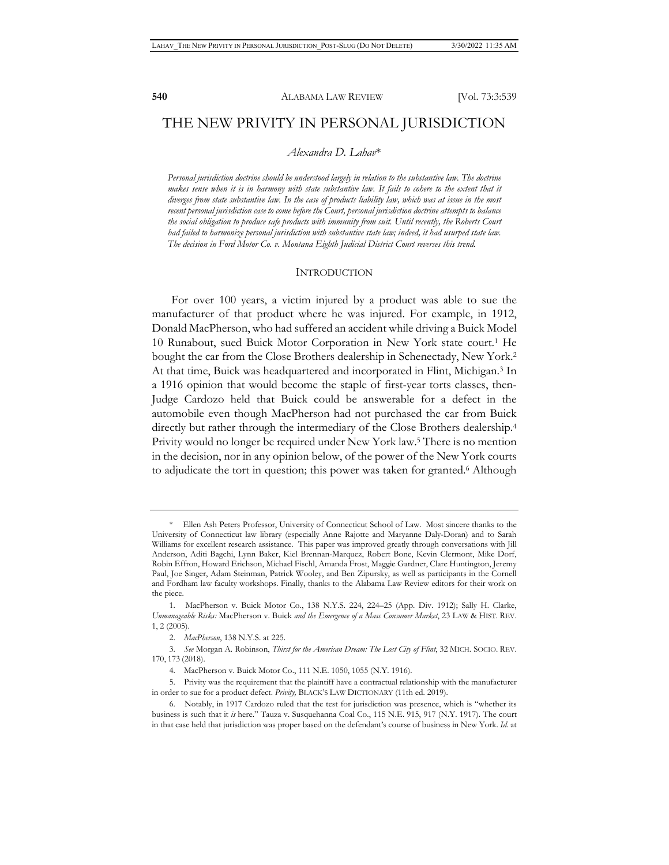# THE NEW PRIVITY IN PERSONAL JURISDICTION

#### *Alexandra D. Lahav*\*

*Personal jurisdiction doctrine should be understood largely in relation to the substantive law. The doctrine makes sense when it is in harmony with state substantive law. It fails to cohere to the extent that it diverges from state substantive law. In the case of products liability law, which was at issue in the most recent personal jurisdiction case to come before the Court, personal jurisdiction doctrine attempts to balance the social obligation to produce safe products with immunity from suit. Until recently, the Roberts Court had failed to harmonize personal jurisdiction with substantive state law; indeed, it had usurped state law. The decision in Ford Motor Co. v. Montana Eighth Judicial District Court reverses this trend.* 

#### INTRODUCTION

For over 100 years, a victim injured by a product was able to sue the manufacturer of that product where he was injured. For example, in 1912, Donald MacPherson, who had suffered an accident while driving a Buick Model 10 Runabout, sued Buick Motor Corporation in New York state court.1 He bought the car from the Close Brothers dealership in Schenectady, New York.2 At that time, Buick was headquartered and incorporated in Flint, Michigan.3 In a 1916 opinion that would become the staple of first-year torts classes, then-Judge Cardozo held that Buick could be answerable for a defect in the automobile even though MacPherson had not purchased the car from Buick directly but rather through the intermediary of the Close Brothers dealership.4 Privity would no longer be required under New York law.<sup>5</sup> There is no mention in the decision, nor in any opinion below, of the power of the New York courts to adjudicate the tort in question; this power was taken for granted.<sup>6</sup> Although

<sup>\*</sup> Ellen Ash Peters Professor, University of Connecticut School of Law. Most sincere thanks to the University of Connecticut law library (especially Anne Rajotte and Maryanne Daly-Doran) and to Sarah Williams for excellent research assistance. This paper was improved greatly through conversations with Jill Anderson, Aditi Bagchi, Lynn Baker, Kiel Brennan-Marquez, Robert Bone, Kevin Clermont, Mike Dorf, Robin Effron, Howard Erichson, Michael Fischl, Amanda Frost, Maggie Gardner, Clare Huntington, Jeremy Paul, Joe Singer, Adam Steinman, Patrick Wooley, and Ben Zipursky, as well as participants in the Cornell and Fordham law faculty workshops. Finally, thanks to the Alabama Law Review editors for their work on the piece.

<sup>1.</sup> MacPherson v. Buick Motor Co., 138 N.Y.S. 224, 224–25 (App. Div. 1912); Sally H. Clarke, *Unmanageable Risks:* MacPherson v. Buick *and the Emergence of a Mass Consumer Market*, 23 LAW & HIST. REV. 1, 2 (2005).

<sup>2.</sup> *MacPherson*, 138 N.Y.S. at 225.

<sup>3.</sup> *See* Morgan A. Robinson, *Thirst for the American Dream: The Lost City of Flint*, 32 MICH. SOCIO. REV. 170, 173 (2018).

<sup>4.</sup> MacPherson v. Buick Motor Co., 111 N.E. 1050, 1055 (N.Y. 1916).

<sup>5.</sup> Privity was the requirement that the plaintiff have a contractual relationship with the manufacturer in order to sue for a product defect. *Privity,* BLACK'S LAW DICTIONARY (11th ed. 2019).

<sup>6.</sup> Notably, in 1917 Cardozo ruled that the test for jurisdiction was presence, which is "whether its business is such that it *is* here." Tauza v. Susquehanna Coal Co., 115 N.E. 915, 917 (N.Y. 1917). The court in that case held that jurisdiction was proper based on the defendant's course of business in New York. *Id.* at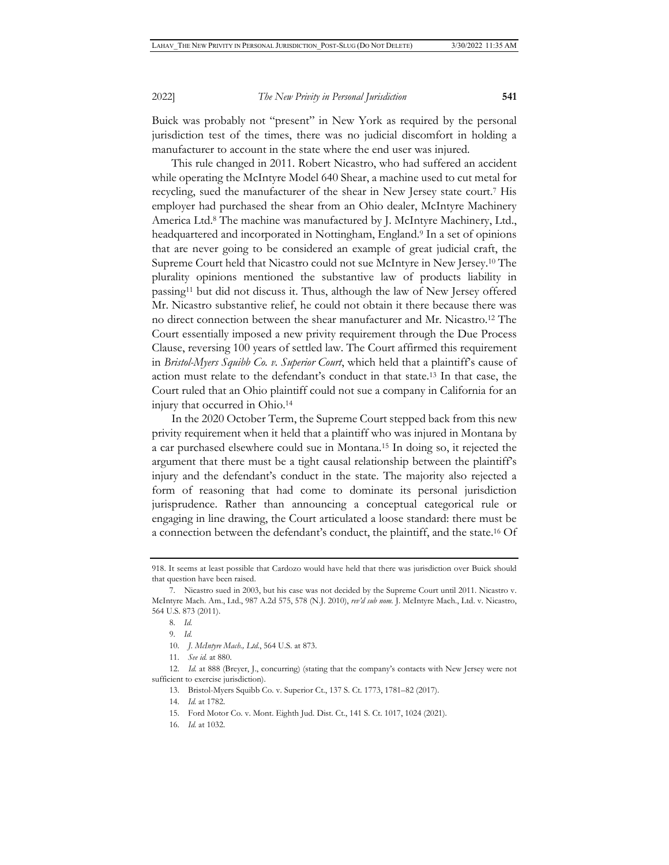Buick was probably not "present" in New York as required by the personal jurisdiction test of the times, there was no judicial discomfort in holding a manufacturer to account in the state where the end user was injured.

This rule changed in 2011. Robert Nicastro, who had suffered an accident while operating the McIntyre Model 640 Shear, a machine used to cut metal for recycling, sued the manufacturer of the shear in New Jersey state court.7 His employer had purchased the shear from an Ohio dealer, McIntyre Machinery America Ltd.8 The machine was manufactured by J. McIntyre Machinery, Ltd., headquartered and incorporated in Nottingham, England.9 In a set of opinions that are never going to be considered an example of great judicial craft, the Supreme Court held that Nicastro could not sue McIntyre in New Jersey.10 The plurality opinions mentioned the substantive law of products liability in passing11 but did not discuss it. Thus, although the law of New Jersey offered Mr. Nicastro substantive relief, he could not obtain it there because there was no direct connection between the shear manufacturer and Mr. Nicastro.12 The Court essentially imposed a new privity requirement through the Due Process Clause, reversing 100 years of settled law. The Court affirmed this requirement in *Bristol-Myers Squibb Co. v. Superior Court*, which held that a plaintiff's cause of action must relate to the defendant's conduct in that state.13 In that case, the Court ruled that an Ohio plaintiff could not sue a company in California for an injury that occurred in Ohio.14

In the 2020 October Term, the Supreme Court stepped back from this new privity requirement when it held that a plaintiff who was injured in Montana by a car purchased elsewhere could sue in Montana.15 In doing so, it rejected the argument that there must be a tight causal relationship between the plaintiff's injury and the defendant's conduct in the state. The majority also rejected a form of reasoning that had come to dominate its personal jurisdiction jurisprudence. Rather than announcing a conceptual categorical rule or engaging in line drawing, the Court articulated a loose standard: there must be a connection between the defendant's conduct, the plaintiff, and the state.16 Of

13. Bristol-Myers Squibb Co. v. Superior Ct., 137 S. Ct. 1773, 1781–82 (2017).

- 15. Ford Motor Co. v. Mont. Eighth Jud. Dist. Ct., 141 S. Ct. 1017, 1024 (2021).
- 16. *Id.* at 1032.

<sup>918.</sup> It seems at least possible that Cardozo would have held that there was jurisdiction over Buick should that question have been raised.

<sup>7.</sup> Nicastro sued in 2003, but his case was not decided by the Supreme Court until 2011. Nicastro v. McIntyre Mach. Am., Ltd., 987 A.2d 575, 578 (N.J. 2010), *rev'd sub nom.* J. McIntyre Mach., Ltd. v. Nicastro, 564 U.S. 873 (2011).

<sup>8.</sup> *Id.*

<sup>9.</sup> *Id.*

<sup>10.</sup> *J. McIntyre Mach., Ltd.*, 564 U.S. at 873.

<sup>11.</sup> *See id.* at 880.

<sup>12.</sup> *Id.* at 888 (Breyer, J., concurring) (stating that the company's contacts with New Jersey were not sufficient to exercise jurisdiction).

<sup>14.</sup> *Id.* at 1782.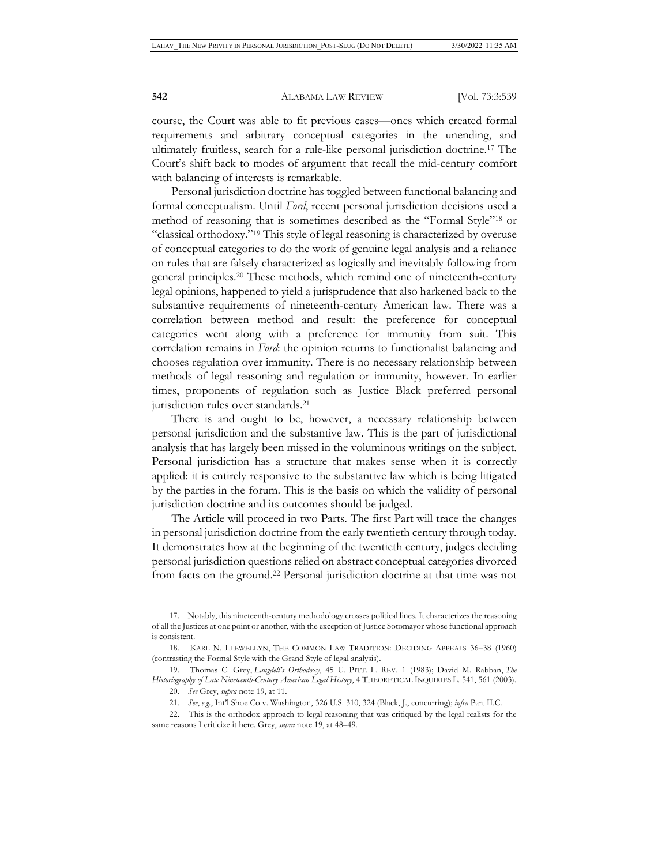course, the Court was able to fit previous cases—ones which created formal requirements and arbitrary conceptual categories in the unending, and ultimately fruitless, search for a rule-like personal jurisdiction doctrine.17 The Court's shift back to modes of argument that recall the mid-century comfort with balancing of interests is remarkable.

Personal jurisdiction doctrine has toggled between functional balancing and formal conceptualism. Until *Ford*, recent personal jurisdiction decisions used a method of reasoning that is sometimes described as the "Formal Style"18 or "classical orthodoxy."19 This style of legal reasoning is characterized by overuse of conceptual categories to do the work of genuine legal analysis and a reliance on rules that are falsely characterized as logically and inevitably following from general principles.20 These methods, which remind one of nineteenth-century legal opinions, happened to yield a jurisprudence that also harkened back to the substantive requirements of nineteenth-century American law. There was a correlation between method and result: the preference for conceptual categories went along with a preference for immunity from suit. This correlation remains in *Ford*: the opinion returns to functionalist balancing and chooses regulation over immunity. There is no necessary relationship between methods of legal reasoning and regulation or immunity, however. In earlier times, proponents of regulation such as Justice Black preferred personal jurisdiction rules over standards.21

There is and ought to be, however, a necessary relationship between personal jurisdiction and the substantive law. This is the part of jurisdictional analysis that has largely been missed in the voluminous writings on the subject. Personal jurisdiction has a structure that makes sense when it is correctly applied: it is entirely responsive to the substantive law which is being litigated by the parties in the forum. This is the basis on which the validity of personal jurisdiction doctrine and its outcomes should be judged.

The Article will proceed in two Parts. The first Part will trace the changes in personal jurisdiction doctrine from the early twentieth century through today. It demonstrates how at the beginning of the twentieth century, judges deciding personal jurisdiction questions relied on abstract conceptual categories divorced from facts on the ground.22 Personal jurisdiction doctrine at that time was not

<sup>17.</sup> Notably, this nineteenth-century methodology crosses political lines. It characterizes the reasoning of all the Justices at one point or another, with the exception of Justice Sotomayor whose functional approach is consistent.

<sup>18.</sup> KARL N. LLEWELLYN, THE COMMON LAW TRADITION: DECIDING APPEALS 36–38 (1960) (contrasting the Formal Style with the Grand Style of legal analysis).

<sup>19.</sup> Thomas C. Grey, *Langdell's Orthodoxy*, 45 U. PITT. L. REV. 1 (1983); David M. Rabban, *The Historiography of Late Nineteenth-Century American Legal History*, 4 THEORETICAL INQUIRIES L. 541, 561 (2003).

<sup>20.</sup> *See* Grey, *supra* note 19, at 11.

<sup>21.</sup> *See*, *e.g.*, Int'l Shoe Co v. Washington, 326 U.S. 310, 324 (Black, J., concurring); *infra* Part II.C.

<sup>22.</sup> This is the orthodox approach to legal reasoning that was critiqued by the legal realists for the same reasons I criticize it here. Grey, *supra* note 19, at 48–49.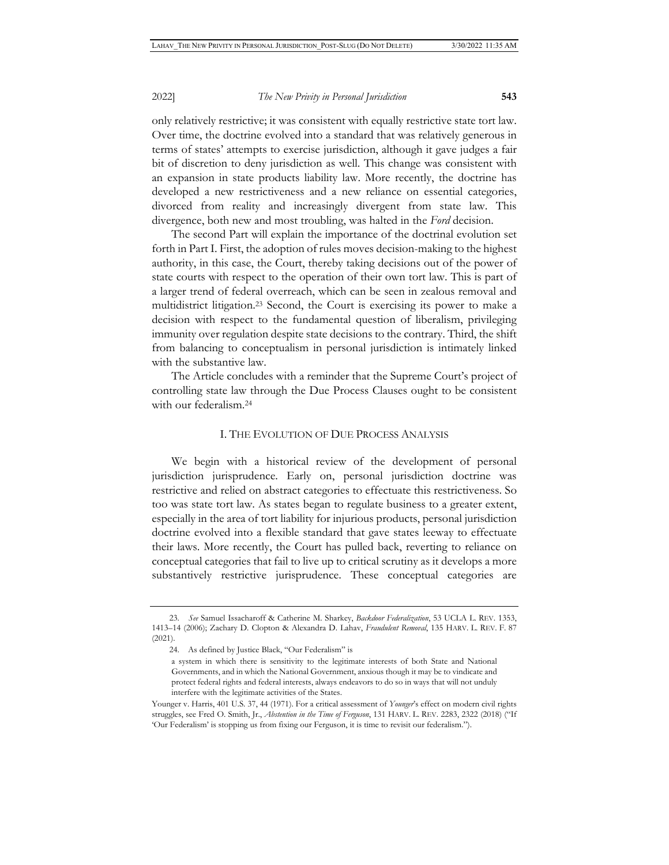only relatively restrictive; it was consistent with equally restrictive state tort law. Over time, the doctrine evolved into a standard that was relatively generous in terms of states' attempts to exercise jurisdiction, although it gave judges a fair bit of discretion to deny jurisdiction as well. This change was consistent with an expansion in state products liability law. More recently, the doctrine has developed a new restrictiveness and a new reliance on essential categories, divorced from reality and increasingly divergent from state law. This divergence, both new and most troubling, was halted in the *Ford* decision.

The second Part will explain the importance of the doctrinal evolution set forth in Part I. First, the adoption of rules moves decision-making to the highest authority, in this case, the Court, thereby taking decisions out of the power of state courts with respect to the operation of their own tort law. This is part of a larger trend of federal overreach, which can be seen in zealous removal and multidistrict litigation.23 Second, the Court is exercising its power to make a decision with respect to the fundamental question of liberalism, privileging immunity over regulation despite state decisions to the contrary. Third, the shift from balancing to conceptualism in personal jurisdiction is intimately linked with the substantive law.

The Article concludes with a reminder that the Supreme Court's project of controlling state law through the Due Process Clauses ought to be consistent with our federalism.24

#### I. THE EVOLUTION OF DUE PROCESS ANALYSIS

We begin with a historical review of the development of personal jurisdiction jurisprudence. Early on, personal jurisdiction doctrine was restrictive and relied on abstract categories to effectuate this restrictiveness. So too was state tort law. As states began to regulate business to a greater extent, especially in the area of tort liability for injurious products, personal jurisdiction doctrine evolved into a flexible standard that gave states leeway to effectuate their laws. More recently, the Court has pulled back, reverting to reliance on conceptual categories that fail to live up to critical scrutiny as it develops a more substantively restrictive jurisprudence. These conceptual categories are

<sup>23.</sup> *See* Samuel Issacharoff & Catherine M. Sharkey, *Backdoor Federalization*, 53 UCLA L. REV. 1353, 1413–14 (2006); Zachary D. Clopton & Alexandra D. Lahav, *Fraudulent Removal*, 135 HARV. L. REV. F. 87 (2021).

<sup>24.</sup> As defined by Justice Black, "Our Federalism" is

a system in which there is sensitivity to the legitimate interests of both State and National Governments, and in which the National Government, anxious though it may be to vindicate and protect federal rights and federal interests, always endeavors to do so in ways that will not unduly interfere with the legitimate activities of the States.

Younger v. Harris, 401 U.S. 37, 44 (1971). For a critical assessment of *Younger*'s effect on modern civil rights struggles, see Fred O. Smith, Jr., *Abstention in the Time of Ferguson*, 131 HARV. L. REV. 2283, 2322 (2018) ("If 'Our Federalism' is stopping us from fixing our Ferguson, it is time to revisit our federalism.").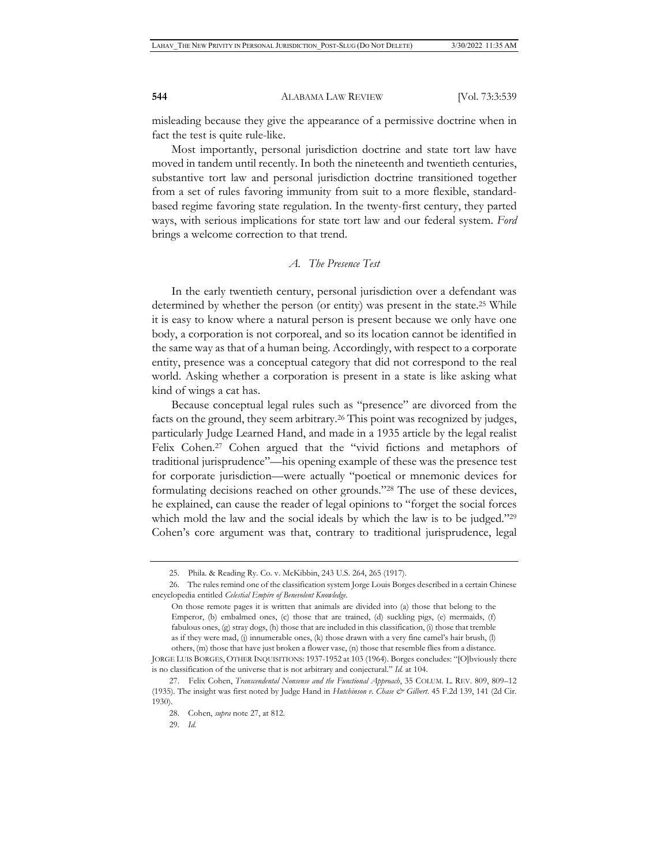misleading because they give the appearance of a permissive doctrine when in fact the test is quite rule-like.

Most importantly, personal jurisdiction doctrine and state tort law have moved in tandem until recently. In both the nineteenth and twentieth centuries, substantive tort law and personal jurisdiction doctrine transitioned together from a set of rules favoring immunity from suit to a more flexible, standardbased regime favoring state regulation. In the twenty-first century, they parted ways, with serious implications for state tort law and our federal system. *Ford* brings a welcome correction to that trend.

# *A. The Presence Test*

In the early twentieth century, personal jurisdiction over a defendant was determined by whether the person (or entity) was present in the state.25 While it is easy to know where a natural person is present because we only have one body, a corporation is not corporeal, and so its location cannot be identified in the same way as that of a human being. Accordingly, with respect to a corporate entity, presence was a conceptual category that did not correspond to the real world. Asking whether a corporation is present in a state is like asking what kind of wings a cat has.

Because conceptual legal rules such as "presence" are divorced from the facts on the ground, they seem arbitrary.<sup>26</sup> This point was recognized by judges, particularly Judge Learned Hand, and made in a 1935 article by the legal realist Felix Cohen.<sup>27</sup> Cohen argued that the "vivid fictions and metaphors of traditional jurisprudence"—his opening example of these was the presence test for corporate jurisdiction—were actually "poetical or mnemonic devices for formulating decisions reached on other grounds."28 The use of these devices, he explained, can cause the reader of legal opinions to "forget the social forces which mold the law and the social ideals by which the law is to be judged."<sup>29</sup> Cohen's core argument was that, contrary to traditional jurisprudence, legal

<sup>25.</sup> Phila. & Reading Ry. Co. v. McKibbin, 243 U.S. 264, 265 (1917).

<sup>26.</sup> The rules remind one of the classification system Jorge Louis Borges described in a certain Chinese encyclopedia entitled *Celestial Empire of Benevolent Knowledge*.

On those remote pages it is written that animals are divided into (a) those that belong to the Emperor, (b) embalmed ones, (c) those that are trained, (d) suckling pigs, (e) mermaids, (f) fabulous ones, (g) stray dogs, (h) those that are included in this classification, (i) those that tremble as if they were mad, (j) innumerable ones, (k) those drawn with a very fine camel's hair brush, (l) others, (m) those that have just broken a flower vase, (n) those that resemble flies from a distance.

JORGE LUIS BORGES, OTHER INQUISITIONS: 1937-1952 at 103 (1964). Borges concludes: "[O]bviously there is no classification of the universe that is not arbitrary and conjectural." *Id.* at 104.

<sup>27.</sup> Felix Cohen, *Transcendental Nonsense and the Functional Approach*, 35 COLUM. L. REV. 809, 809–12 (1935). The insight was first noted by Judge Hand in *Hutchinson v. Chase & Gilbert*. 45 F.2d 139, 141 (2d Cir. 1930).

<sup>28.</sup> Cohen, *supra* note 27, at 812.

<sup>29.</sup> *Id.*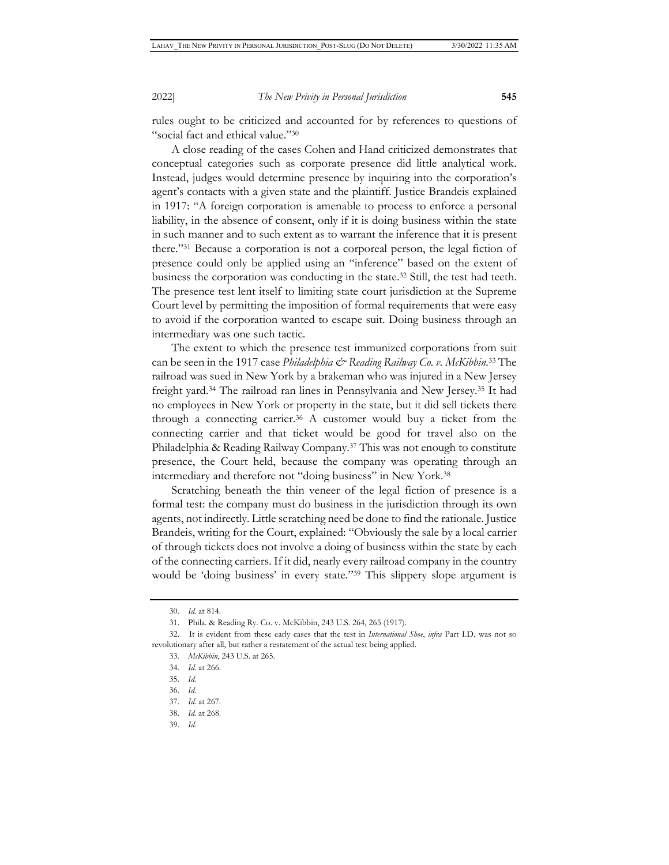rules ought to be criticized and accounted for by references to questions of "social fact and ethical value."30

A close reading of the cases Cohen and Hand criticized demonstrates that conceptual categories such as corporate presence did little analytical work. Instead, judges would determine presence by inquiring into the corporation's agent's contacts with a given state and the plaintiff. Justice Brandeis explained in 1917: "A foreign corporation is amenable to process to enforce a personal liability, in the absence of consent, only if it is doing business within the state in such manner and to such extent as to warrant the inference that it is present there."31 Because a corporation is not a corporeal person, the legal fiction of presence could only be applied using an "inference" based on the extent of business the corporation was conducting in the state.32 Still, the test had teeth. The presence test lent itself to limiting state court jurisdiction at the Supreme Court level by permitting the imposition of formal requirements that were easy to avoid if the corporation wanted to escape suit. Doing business through an intermediary was one such tactic.

The extent to which the presence test immunized corporations from suit can be seen in the 1917 case *Philadelphia & Reading Railway Co. v. McKibbin*.<sup>33</sup> The railroad was sued in New York by a brakeman who was injured in a New Jersey freight yard.34 The railroad ran lines in Pennsylvania and New Jersey.35 It had no employees in New York or property in the state, but it did sell tickets there through a connecting carrier.36 A customer would buy a ticket from the connecting carrier and that ticket would be good for travel also on the Philadelphia & Reading Railway Company.37 This was not enough to constitute presence, the Court held, because the company was operating through an intermediary and therefore not "doing business" in New York.38

Scratching beneath the thin veneer of the legal fiction of presence is a formal test: the company must do business in the jurisdiction through its own agents, not indirectly. Little scratching need be done to find the rationale. Justice Brandeis, writing for the Court, explained: "Obviously the sale by a local carrier of through tickets does not involve a doing of business within the state by each of the connecting carriers. If it did, nearly every railroad company in the country would be 'doing business' in every state."39 This slippery slope argument is

<sup>30.</sup> *Id.* at 814.

<sup>31.</sup> Phila. & Reading Ry. Co. v. McKibbin, 243 U.S. 264, 265 (1917).

<sup>32.</sup> It is evident from these early cases that the test in *International Shoe*, *infra* Part I.D, was not so revolutionary after all, but rather a restatement of the actual test being applied.

<sup>33.</sup> *McKibbin*, 243 U.S. at 265.

<sup>34.</sup> *Id.* at 266.

<sup>35.</sup> *Id.*

<sup>36.</sup> *Id.*

<sup>37.</sup> *Id.* at 267.

<sup>38.</sup> *Id.* at 268.

<sup>39.</sup> *Id.*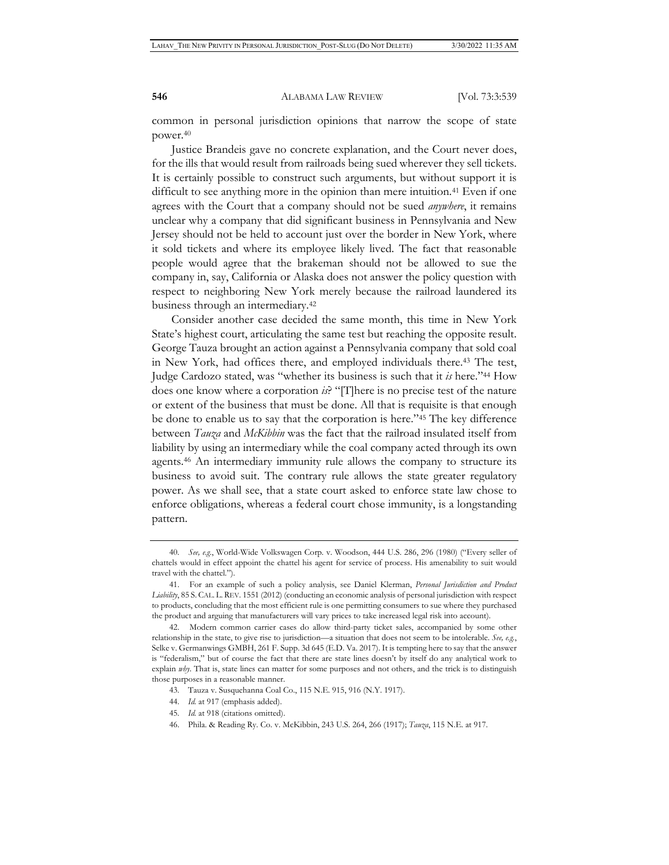common in personal jurisdiction opinions that narrow the scope of state power.40

Justice Brandeis gave no concrete explanation, and the Court never does, for the ills that would result from railroads being sued wherever they sell tickets. It is certainly possible to construct such arguments, but without support it is difficult to see anything more in the opinion than mere intuition.<sup>41</sup> Even if one agrees with the Court that a company should not be sued *anywhere*, it remains unclear why a company that did significant business in Pennsylvania and New Jersey should not be held to account just over the border in New York, where it sold tickets and where its employee likely lived. The fact that reasonable people would agree that the brakeman should not be allowed to sue the company in, say, California or Alaska does not answer the policy question with respect to neighboring New York merely because the railroad laundered its business through an intermediary.42

Consider another case decided the same month, this time in New York State's highest court, articulating the same test but reaching the opposite result. George Tauza brought an action against a Pennsylvania company that sold coal in New York, had offices there, and employed individuals there.43 The test, Judge Cardozo stated, was "whether its business is such that it *is* here."44 How does one know where a corporation *is*? "[T]here is no precise test of the nature or extent of the business that must be done. All that is requisite is that enough be done to enable us to say that the corporation is here."45 The key difference between *Tauza* and *McKibbin* was the fact that the railroad insulated itself from liability by using an intermediary while the coal company acted through its own agents.46 An intermediary immunity rule allows the company to structure its business to avoid suit. The contrary rule allows the state greater regulatory power. As we shall see, that a state court asked to enforce state law chose to enforce obligations, whereas a federal court chose immunity, is a longstanding pattern.

- 45. *Id.* at 918 (citations omitted).
- 46. Phila. & Reading Ry. Co. v. McKibbin, 243 U.S. 264, 266 (1917); *Tauza*, 115 N.E. at 917.

<sup>40.</sup> *See, e.g.*, World-Wide Volkswagen Corp. v. Woodson, 444 U.S. 286, 296 (1980) ("Every seller of chattels would in effect appoint the chattel his agent for service of process. His amenability to suit would travel with the chattel.").

<sup>41.</sup> For an example of such a policy analysis, see Daniel Klerman, *Personal Jurisdiction and Product Liability*, 85 S.CAL. L.REV. 1551 (2012) (conducting an economic analysis of personal jurisdiction with respect to products, concluding that the most efficient rule is one permitting consumers to sue where they purchased the product and arguing that manufacturers will vary prices to take increased legal risk into account).

<sup>42.</sup> Modern common carrier cases do allow third-party ticket sales, accompanied by some other relationship in the state, to give rise to jurisdiction—a situation that does not seem to be intolerable. *See, e.g.*, Selke v. Germanwings GMBH, 261 F. Supp. 3d 645 (E.D. Va. 2017). It is tempting here to say that the answer is "federalism," but of course the fact that there are state lines doesn't by itself do any analytical work to explain *why*. That is, state lines can matter for some purposes and not others, and the trick is to distinguish those purposes in a reasonable manner.

<sup>43.</sup> Tauza v. Susquehanna Coal Co., 115 N.E. 915, 916 (N.Y. 1917).

<sup>44.</sup> *Id.* at 917 (emphasis added).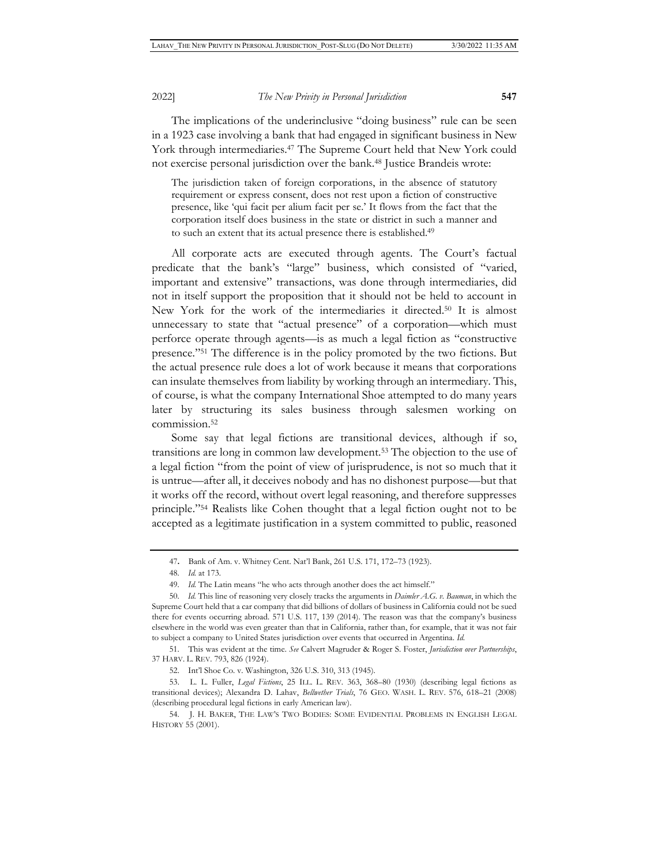The implications of the underinclusive "doing business" rule can be seen in a 1923 case involving a bank that had engaged in significant business in New York through intermediaries.<sup>47</sup> The Supreme Court held that New York could not exercise personal jurisdiction over the bank.48 Justice Brandeis wrote:

The jurisdiction taken of foreign corporations, in the absence of statutory requirement or express consent, does not rest upon a fiction of constructive presence, like 'qui facit per alium facit per se.' It flows from the fact that the corporation itself does business in the state or district in such a manner and to such an extent that its actual presence there is established.49

All corporate acts are executed through agents. The Court's factual predicate that the bank's "large" business, which consisted of "varied, important and extensive" transactions, was done through intermediaries, did not in itself support the proposition that it should not be held to account in New York for the work of the intermediaries it directed.50 It is almost unnecessary to state that "actual presence" of a corporation—which must perforce operate through agents—is as much a legal fiction as "constructive presence."51 The difference is in the policy promoted by the two fictions. But the actual presence rule does a lot of work because it means that corporations can insulate themselves from liability by working through an intermediary. This, of course, is what the company International Shoe attempted to do many years later by structuring its sales business through salesmen working on commission.52

Some say that legal fictions are transitional devices, although if so, transitions are long in common law development.53 The objection to the use of a legal fiction "from the point of view of jurisprudence, is not so much that it is untrue—after all, it deceives nobody and has no dishonest purpose—but that it works off the record, without overt legal reasoning, and therefore suppresses principle."54 Realists like Cohen thought that a legal fiction ought not to be accepted as a legitimate justification in a system committed to public, reasoned

51. This was evident at the time. *See* Calvert Magruder & Roger S. Foster, *Jurisdiction over Partnerships*, 37 HARV. L. REV. 793, 826 (1924).

53. L. L. Fuller, *Legal Fictions*, 25 ILL. L. REV. 363, 368–80 (1930) (describing legal fictions as transitional devices); Alexandra D. Lahav, *Bellwether Trials*, 76 GEO. WASH. L. REV. 576, 618–21 (2008) (describing procedural legal fictions in early American law).

54. J. H. BAKER, THE LAW'S TWO BODIES: SOME EVIDENTIAL PROBLEMS IN ENGLISH LEGAL HISTORY 55 (2001).

<sup>47</sup>**.** Bank of Am. v. Whitney Cent. Nat'l Bank, 261 U.S. 171, 172–73 (1923).

<sup>48.</sup> *Id.* at 173.

<sup>49.</sup> *Id.* The Latin means "he who acts through another does the act himself."

<sup>50.</sup> *Id.* This line of reasoning very closely tracks the arguments in *Daimler A.G. v. Bauman*, in which the Supreme Court held that a car company that did billions of dollars of business in California could not be sued there for events occurring abroad. 571 U.S. 117, 139 (2014). The reason was that the company's business elsewhere in the world was even greater than that in California, rather than, for example, that it was not fair to subject a company to United States jurisdiction over events that occurred in Argentina. *Id.* 

<sup>52.</sup> Int'l Shoe Co. v. Washington, 326 U.S. 310, 313 (1945).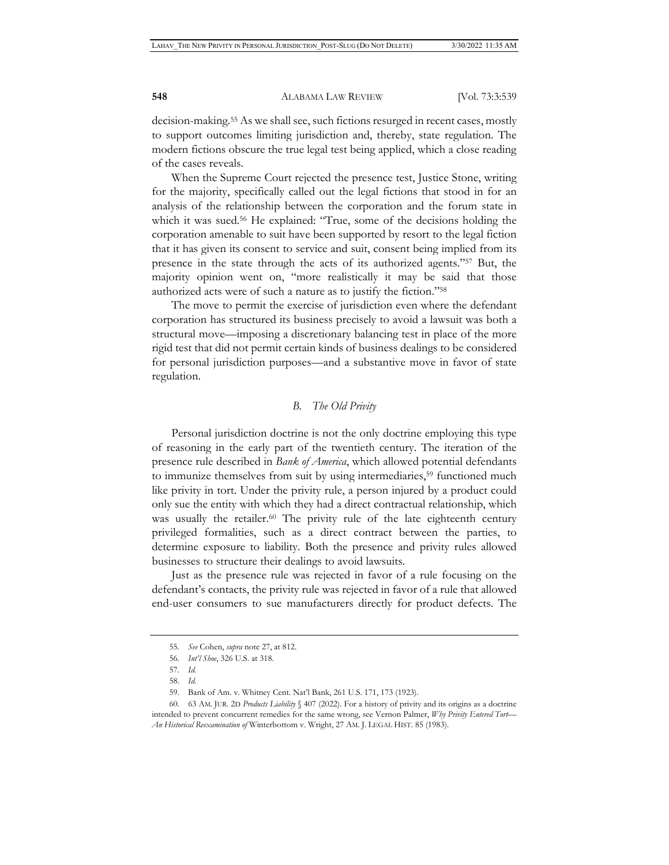decision-making.55 As we shall see, such fictions resurged in recent cases, mostly to support outcomes limiting jurisdiction and, thereby, state regulation. The modern fictions obscure the true legal test being applied, which a close reading of the cases reveals.

When the Supreme Court rejected the presence test, Justice Stone, writing for the majority, specifically called out the legal fictions that stood in for an analysis of the relationship between the corporation and the forum state in which it was sued.<sup>56</sup> He explained: "True, some of the decisions holding the corporation amenable to suit have been supported by resort to the legal fiction that it has given its consent to service and suit, consent being implied from its presence in the state through the acts of its authorized agents."57 But, the majority opinion went on, "more realistically it may be said that those authorized acts were of such a nature as to justify the fiction."58

The move to permit the exercise of jurisdiction even where the defendant corporation has structured its business precisely to avoid a lawsuit was both a structural move—imposing a discretionary balancing test in place of the more rigid test that did not permit certain kinds of business dealings to be considered for personal jurisdiction purposes—and a substantive move in favor of state regulation.

### *B. The Old Privity*

Personal jurisdiction doctrine is not the only doctrine employing this type of reasoning in the early part of the twentieth century. The iteration of the presence rule described in *Bank of America*, which allowed potential defendants to immunize themselves from suit by using intermediaries,<sup>59</sup> functioned much like privity in tort. Under the privity rule, a person injured by a product could only sue the entity with which they had a direct contractual relationship, which was usually the retailer.<sup>60</sup> The privity rule of the late eighteenth century privileged formalities, such as a direct contract between the parties, to determine exposure to liability. Both the presence and privity rules allowed businesses to structure their dealings to avoid lawsuits.

Just as the presence rule was rejected in favor of a rule focusing on the defendant's contacts, the privity rule was rejected in favor of a rule that allowed end-user consumers to sue manufacturers directly for product defects. The

<sup>55.</sup> *See* Cohen, *supra* note 27, at 812.

<sup>56.</sup> *Int'l Shoe*, 326 U.S. at 318.

<sup>57.</sup> *Id.*

<sup>58.</sup> *Id.*

<sup>59.</sup> Bank of Am. v. Whitney Cent. Nat'l Bank, 261 U.S. 171, 173 (1923).

<sup>60. 63</sup> AM. JUR. 2D *Products Liability* § 407 (2022). For a history of privity and its origins as a doctrine intended to prevent concurrent remedies for the same wrong, see Vernon Palmer, *Why Privity Entered Tort— An Historical Reexamination of* Winterbottom v. Wright, 27 AM. J. LEGAL HIST. 85 (1983).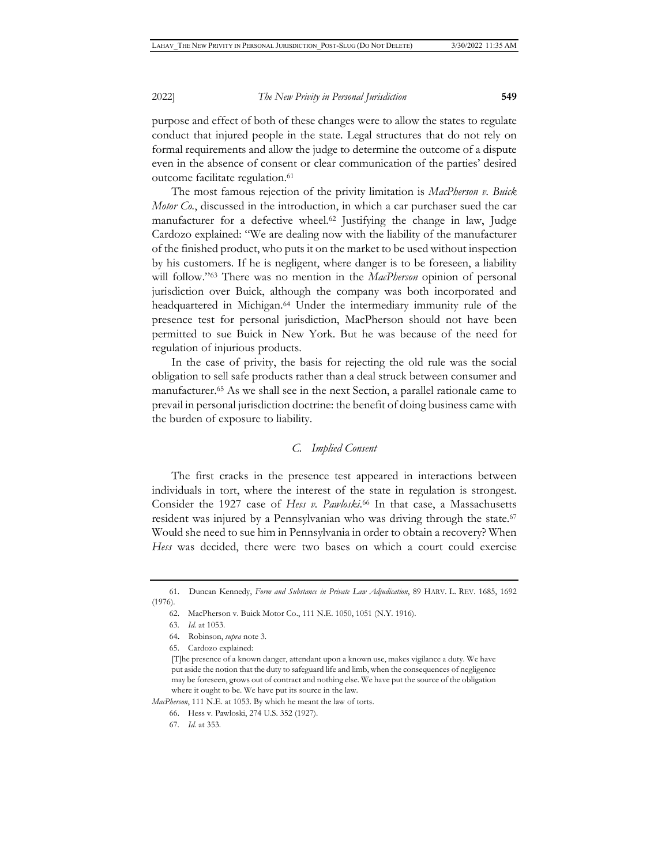purpose and effect of both of these changes were to allow the states to regulate conduct that injured people in the state. Legal structures that do not rely on formal requirements and allow the judge to determine the outcome of a dispute even in the absence of consent or clear communication of the parties' desired outcome facilitate regulation.<sup>61</sup>

The most famous rejection of the privity limitation is *MacPherson v. Buick Motor Co.*, discussed in the introduction, in which a car purchaser sued the car manufacturer for a defective wheel.62 Justifying the change in law, Judge Cardozo explained: "We are dealing now with the liability of the manufacturer of the finished product, who puts it on the market to be used without inspection by his customers. If he is negligent, where danger is to be foreseen, a liability will follow."63 There was no mention in the *MacPherson* opinion of personal jurisdiction over Buick, although the company was both incorporated and headquartered in Michigan.<sup>64</sup> Under the intermediary immunity rule of the presence test for personal jurisdiction, MacPherson should not have been permitted to sue Buick in New York. But he was because of the need for regulation of injurious products.

In the case of privity, the basis for rejecting the old rule was the social obligation to sell safe products rather than a deal struck between consumer and manufacturer.65 As we shall see in the next Section, a parallel rationale came to prevail in personal jurisdiction doctrine: the benefit of doing business came with the burden of exposure to liability.

# *C. Implied Consent*

The first cracks in the presence test appeared in interactions between individuals in tort, where the interest of the state in regulation is strongest. Consider the 1927 case of *Hess v. Pawloski*. 66 In that case, a Massachusetts resident was injured by a Pennsylvanian who was driving through the state.<sup>67</sup> Would she need to sue him in Pennsylvania in order to obtain a recovery? When *Hess* was decided, there were two bases on which a court could exercise

*MacPherson*, 111 N.E. at 1053. By which he meant the law of torts.

<sup>61.</sup> Duncan Kennedy, *Form and Substance in Private Law Adjudication*, 89 HARV. L. REV. 1685, 1692 (1976).

<sup>62.</sup> MacPherson v. Buick Motor Co., 111 N.E. 1050, 1051 (N.Y. 1916).

<sup>63.</sup> *Id.* at 1053.

<sup>64</sup>**.** Robinson, *supra* note 3.

<sup>65.</sup> Cardozo explained:

<sup>[</sup>T]he presence of a known danger, attendant upon a known use, makes vigilance a duty. We have put aside the notion that the duty to safeguard life and limb, when the consequences of negligence may be foreseen, grows out of contract and nothing else. We have put the source of the obligation where it ought to be. We have put its source in the law.

<sup>66.</sup> Hess v. Pawloski, 274 U.S. 352 (1927).

<sup>67.</sup> *Id.* at 353.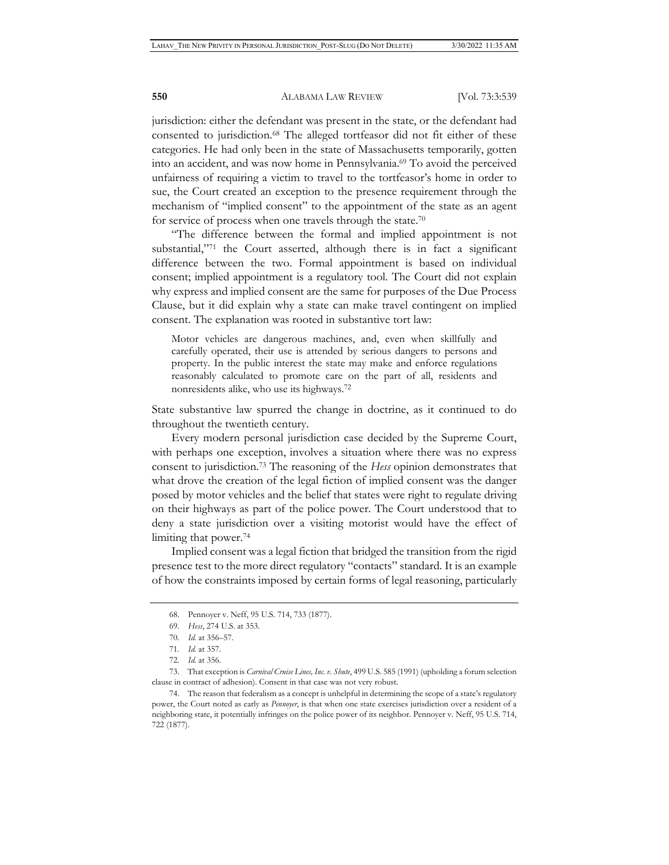jurisdiction: either the defendant was present in the state, or the defendant had consented to jurisdiction.68 The alleged tortfeasor did not fit either of these categories. He had only been in the state of Massachusetts temporarily, gotten into an accident, and was now home in Pennsylvania.69 To avoid the perceived unfairness of requiring a victim to travel to the tortfeasor's home in order to sue, the Court created an exception to the presence requirement through the mechanism of "implied consent" to the appointment of the state as an agent for service of process when one travels through the state.<sup>70</sup>

"The difference between the formal and implied appointment is not substantial,"71 the Court asserted, although there is in fact a significant difference between the two. Formal appointment is based on individual consent; implied appointment is a regulatory tool. The Court did not explain why express and implied consent are the same for purposes of the Due Process Clause, but it did explain why a state can make travel contingent on implied consent. The explanation was rooted in substantive tort law:

Motor vehicles are dangerous machines, and, even when skillfully and carefully operated, their use is attended by serious dangers to persons and property. In the public interest the state may make and enforce regulations reasonably calculated to promote care on the part of all, residents and nonresidents alike, who use its highways.72

State substantive law spurred the change in doctrine, as it continued to do throughout the twentieth century.

Every modern personal jurisdiction case decided by the Supreme Court, with perhaps one exception, involves a situation where there was no express consent to jurisdiction.73 The reasoning of the *Hess* opinion demonstrates that what drove the creation of the legal fiction of implied consent was the danger posed by motor vehicles and the belief that states were right to regulate driving on their highways as part of the police power. The Court understood that to deny a state jurisdiction over a visiting motorist would have the effect of limiting that power.<sup>74</sup>

Implied consent was a legal fiction that bridged the transition from the rigid presence test to the more direct regulatory "contacts" standard. It is an example of how the constraints imposed by certain forms of legal reasoning, particularly

<sup>68.</sup> Pennoyer v. Neff, 95 U.S. 714, 733 (1877).

<sup>69.</sup> *Hess*, 274 U.S. at 353.

<sup>70.</sup> *Id.* at 356–57.

<sup>71.</sup> *Id.* at 357.

<sup>72.</sup> *Id.* at 356.

<sup>73.</sup> That exception is *Carnival Cruise Lines, Inc. v. Shute*, 499 U.S. 585 (1991) (upholding a forum selection clause in contract of adhesion). Consent in that case was not very robust.

<sup>74.</sup> The reason that federalism as a concept is unhelpful in determining the scope of a state's regulatory power, the Court noted as early as *Pennoyer*, is that when one state exercises jurisdiction over a resident of a neighboring state, it potentially infringes on the police power of its neighbor. Pennoyer v. Neff, 95 U.S. 714, 722 (1877).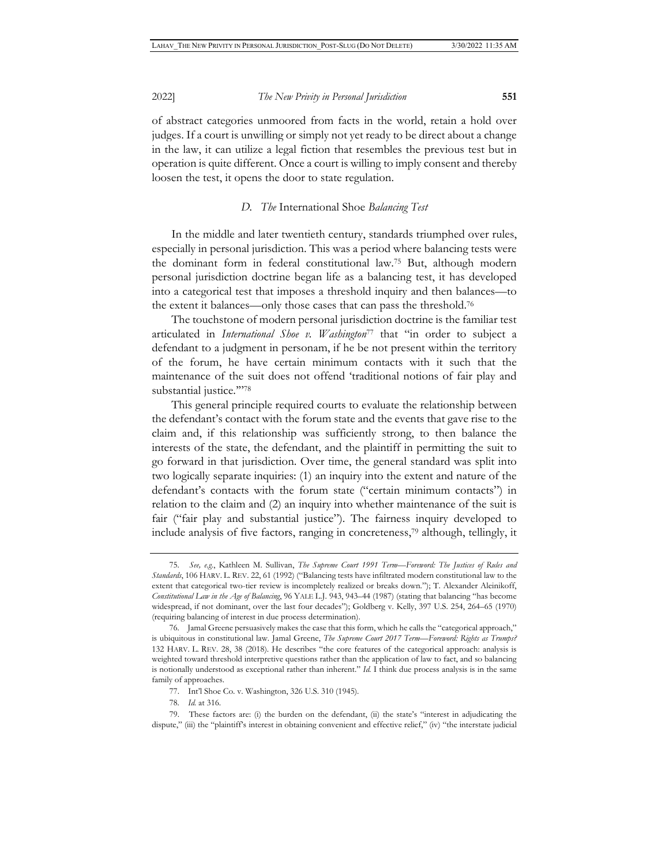of abstract categories unmoored from facts in the world, retain a hold over judges. If a court is unwilling or simply not yet ready to be direct about a change in the law, it can utilize a legal fiction that resembles the previous test but in operation is quite different. Once a court is willing to imply consent and thereby loosen the test, it opens the door to state regulation.

#### *D. The* International Shoe *Balancing Test*

In the middle and later twentieth century, standards triumphed over rules, especially in personal jurisdiction. This was a period where balancing tests were the dominant form in federal constitutional law.75 But, although modern personal jurisdiction doctrine began life as a balancing test, it has developed into a categorical test that imposes a threshold inquiry and then balances—to the extent it balances—only those cases that can pass the threshold.76

The touchstone of modern personal jurisdiction doctrine is the familiar test articulated in *International Shoe v. Washington*77 that "in order to subject a defendant to a judgment in personam, if he be not present within the territory of the forum, he have certain minimum contacts with it such that the maintenance of the suit does not offend 'traditional notions of fair play and substantial justice.""78

This general principle required courts to evaluate the relationship between the defendant's contact with the forum state and the events that gave rise to the claim and, if this relationship was sufficiently strong, to then balance the interests of the state, the defendant, and the plaintiff in permitting the suit to go forward in that jurisdiction. Over time, the general standard was split into two logically separate inquiries: (1) an inquiry into the extent and nature of the defendant's contacts with the forum state ("certain minimum contacts") in relation to the claim and (2) an inquiry into whether maintenance of the suit is fair ("fair play and substantial justice"). The fairness inquiry developed to include analysis of five factors, ranging in concreteness,79 although, tellingly, it

<sup>75.</sup> *See, e.g.*, Kathleen M. Sullivan, *The Supreme Court 1991 Term—Foreword: The Justices of Rules and Standards*, 106 HARV. L. REV. 22, 61 (1992) ("Balancing tests have infiltrated modern constitutional law to the extent that categorical two-tier review is incompletely realized or breaks down."); T. Alexander Aleinikoff, *Constitutional Law in the Age of Balancing*, 96 YALE L.J. 943, 943–44 (1987) (stating that balancing "has become widespread, if not dominant, over the last four decades"); Goldberg v. Kelly, 397 U.S. 254, 264–65 (1970) (requiring balancing of interest in due process determination).

<sup>76.</sup> Jamal Greene persuasively makes the case that this form, which he calls the "categorical approach," is ubiquitous in constitutional law. Jamal Greene, *The Supreme Court 2017 Term—Foreword: Rights as Trumps?*  132 HARV. L. REV. 28, 38 (2018). He describes "the core features of the categorical approach: analysis is weighted toward threshold interpretive questions rather than the application of law to fact, and so balancing is notionally understood as exceptional rather than inherent." *Id.* I think due process analysis is in the same family of approaches.

<sup>77.</sup> Int'l Shoe Co. v. Washington, 326 U.S. 310 (1945).

<sup>78.</sup> *Id.* at 316.

<sup>79.</sup> These factors are: (i) the burden on the defendant, (ii) the state's "interest in adjudicating the dispute," (iii) the "plaintiff's interest in obtaining convenient and effective relief," (iv) "the interstate judicial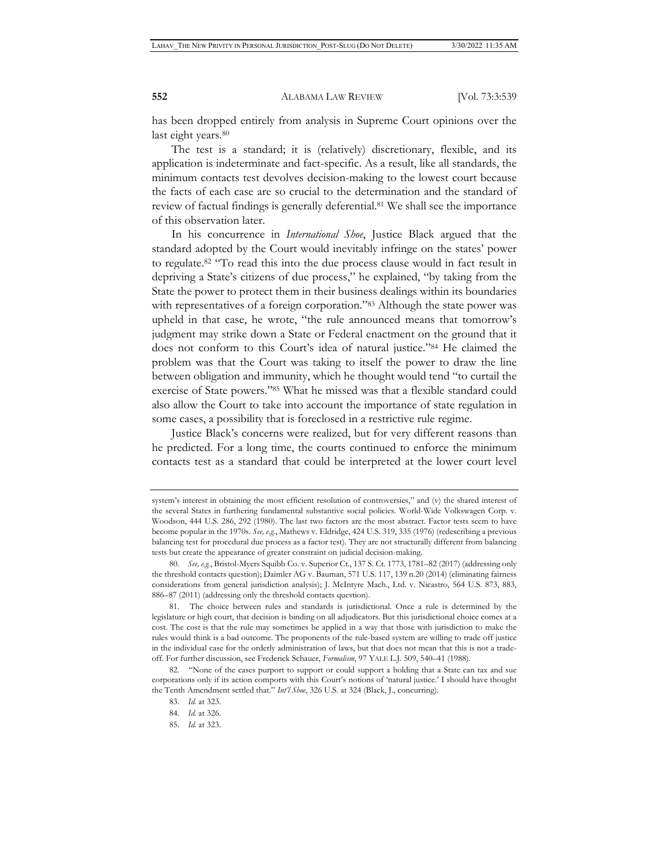has been dropped entirely from analysis in Supreme Court opinions over the last eight years.<sup>80</sup>

The test is a standard; it is (relatively) discretionary, flexible, and its application is indeterminate and fact-specific. As a result, like all standards, the minimum contacts test devolves decision-making to the lowest court because the facts of each case are so crucial to the determination and the standard of review of factual findings is generally deferential.81 We shall see the importance of this observation later.

In his concurrence in *International Shoe*, Justice Black argued that the standard adopted by the Court would inevitably infringe on the states' power to regulate.82 "To read this into the due process clause would in fact result in depriving a State's citizens of due process," he explained, "by taking from the State the power to protect them in their business dealings within its boundaries with representatives of a foreign corporation."<sup>83</sup> Although the state power was upheld in that case, he wrote, "the rule announced means that tomorrow's judgment may strike down a State or Federal enactment on the ground that it does not conform to this Court's idea of natural justice."84 He claimed the problem was that the Court was taking to itself the power to draw the line between obligation and immunity, which he thought would tend "to curtail the exercise of State powers."85 What he missed was that a flexible standard could also allow the Court to take into account the importance of state regulation in some cases, a possibility that is foreclosed in a restrictive rule regime.

Justice Black's concerns were realized, but for very different reasons than he predicted. For a long time, the courts continued to enforce the minimum contacts test as a standard that could be interpreted at the lower court level

system's interest in obtaining the most efficient resolution of controversies," and (v) the shared interest of the several States in furthering fundamental substantive social policies. World-Wide Volkswagen Corp. v. Woodson, 444 U.S. 286, 292 (1980). The last two factors are the most abstract. Factor tests seem to have become popular in the 1970s. *See, e.g.*, Mathews v. Eldridge, 424 U.S. 319, 335 (1976) (redescribing a previous balancing test for procedural due process as a factor test). They are not structurally different from balancing tests but create the appearance of greater constraint on judicial decision-making.

<sup>80.</sup> *See, e.g.*, Bristol-Myers Squibb Co. v. Superior Ct., 137 S. Ct. 1773, 1781–82 (2017) (addressing only the threshold contacts question); Daimler AG v. Bauman, 571 U.S. 117, 139 n.20 (2014) (eliminating fairness considerations from general jurisdiction analysis); J. McIntyre Mach., Ltd. v. Nicastro, 564 U.S. 873, 883, 886–87 (2011) (addressing only the threshold contacts question).

<sup>81.</sup> The choice between rules and standards is jurisdictional. Once a rule is determined by the legislature or high court, that decision is binding on all adjudicators. But this jurisdictional choice comes at a cost. The cost is that the rule may sometimes be applied in a way that those with jurisdiction to make the rules would think is a bad outcome. The proponents of the rule-based system are willing to trade off justice in the individual case for the orderly administration of laws, but that does not mean that this is not a tradeoff. For further discussion, see Frederick Schauer, *Formalism*, 97 YALE L.J. 509, 540–41 (1988).

<sup>82. &</sup>quot;None of the cases purport to support or could support a holding that a State can tax and sue corporations only if its action comports with this Court's notions of 'natural justice.' I should have thought the Tenth Amendment settled that." *Int'l Shoe*, 326 U.S. at 324 (Black, J., concurring).

<sup>83.</sup> *Id.* at 323.

<sup>84.</sup> *Id.* at 326.

<sup>85.</sup> *Id.* at 323.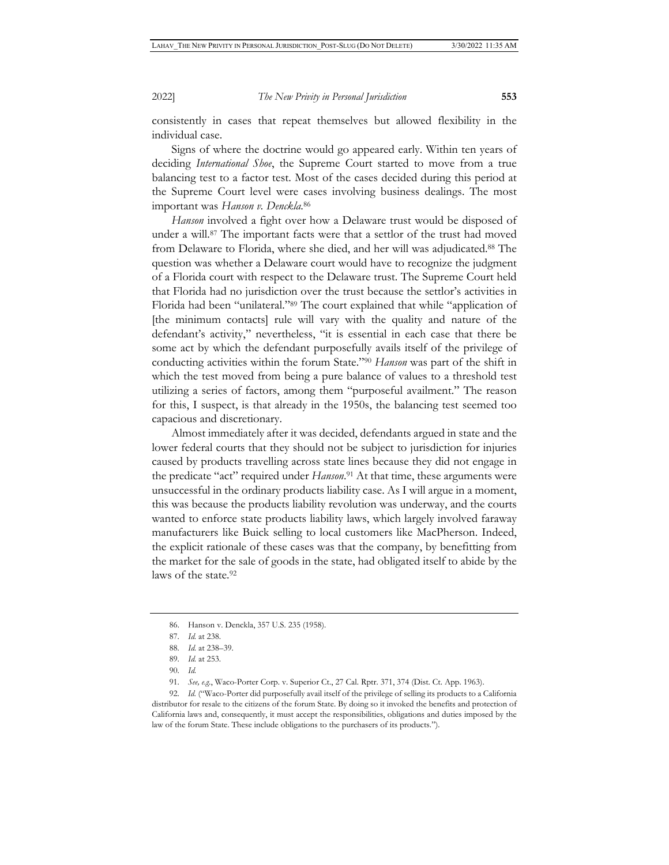consistently in cases that repeat themselves but allowed flexibility in the individual case.

Signs of where the doctrine would go appeared early. Within ten years of deciding *International Shoe*, the Supreme Court started to move from a true balancing test to a factor test. Most of the cases decided during this period at the Supreme Court level were cases involving business dealings. The most important was *Hanson v. Denckla*. 86

*Hanson* involved a fight over how a Delaware trust would be disposed of under a will.87 The important facts were that a settlor of the trust had moved from Delaware to Florida, where she died, and her will was adjudicated.88 The question was whether a Delaware court would have to recognize the judgment of a Florida court with respect to the Delaware trust. The Supreme Court held that Florida had no jurisdiction over the trust because the settlor's activities in Florida had been "unilateral."89 The court explained that while "application of [the minimum contacts] rule will vary with the quality and nature of the defendant's activity," nevertheless, "it is essential in each case that there be some act by which the defendant purposefully avails itself of the privilege of conducting activities within the forum State."90 *Hanson* was part of the shift in which the test moved from being a pure balance of values to a threshold test utilizing a series of factors, among them "purposeful availment." The reason for this, I suspect, is that already in the 1950s, the balancing test seemed too capacious and discretionary.

Almost immediately after it was decided, defendants argued in state and the lower federal courts that they should not be subject to jurisdiction for injuries caused by products travelling across state lines because they did not engage in the predicate "act" required under *Hanson*. 91 At that time, these arguments were unsuccessful in the ordinary products liability case. As I will argue in a moment, this was because the products liability revolution was underway, and the courts wanted to enforce state products liability laws, which largely involved faraway manufacturers like Buick selling to local customers like MacPherson. Indeed, the explicit rationale of these cases was that the company, by benefitting from the market for the sale of goods in the state, had obligated itself to abide by the laws of the state.92

<sup>86.</sup> Hanson v. Denckla, 357 U.S. 235 (1958).

<sup>87.</sup> *Id.* at 238.

<sup>88.</sup> *Id.* at 238–39.

<sup>89.</sup> *Id.* at 253.

<sup>90.</sup> *Id.*

<sup>91.</sup> *See, e.g.*, Waco-Porter Corp. v. Superior Ct., 27 Cal. Rptr. 371, 374 (Dist. Ct. App. 1963).

<sup>92.</sup> *Id.* ("Waco-Porter did purposefully avail itself of the privilege of selling its products to a California distributor for resale to the citizens of the forum State. By doing so it invoked the benefits and protection of California laws and, consequently, it must accept the responsibilities, obligations and duties imposed by the law of the forum State. These include obligations to the purchasers of its products.").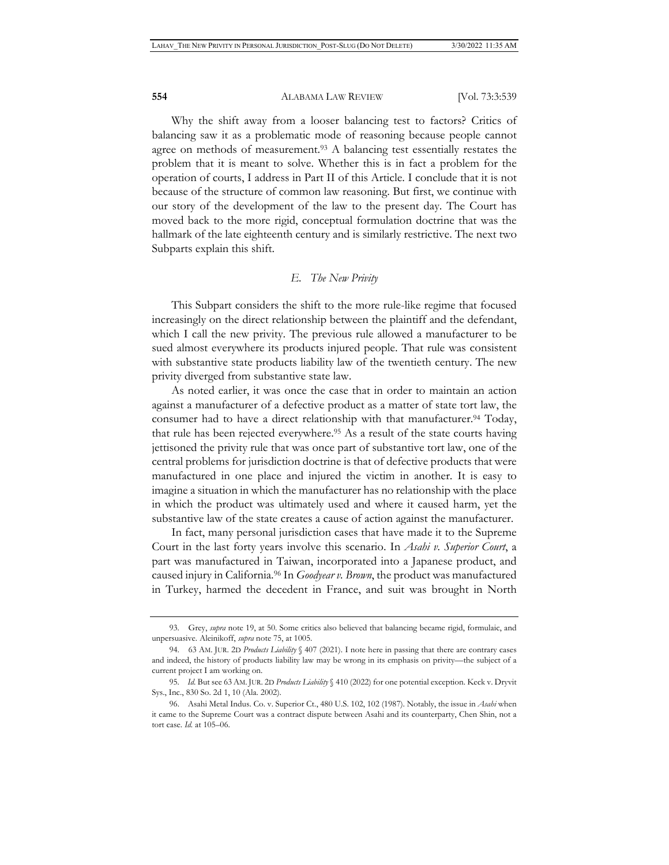Why the shift away from a looser balancing test to factors? Critics of balancing saw it as a problematic mode of reasoning because people cannot agree on methods of measurement.93 A balancing test essentially restates the problem that it is meant to solve. Whether this is in fact a problem for the operation of courts, I address in Part II of this Article. I conclude that it is not because of the structure of common law reasoning. But first, we continue with our story of the development of the law to the present day. The Court has moved back to the more rigid, conceptual formulation doctrine that was the hallmark of the late eighteenth century and is similarly restrictive. The next two Subparts explain this shift.

#### *E. The New Privity*

This Subpart considers the shift to the more rule-like regime that focused increasingly on the direct relationship between the plaintiff and the defendant, which I call the new privity. The previous rule allowed a manufacturer to be sued almost everywhere its products injured people. That rule was consistent with substantive state products liability law of the twentieth century. The new privity diverged from substantive state law.

As noted earlier, it was once the case that in order to maintain an action against a manufacturer of a defective product as a matter of state tort law, the consumer had to have a direct relationship with that manufacturer.<sup>94</sup> Today, that rule has been rejected everywhere.<sup>95</sup> As a result of the state courts having jettisoned the privity rule that was once part of substantive tort law, one of the central problems for jurisdiction doctrine is that of defective products that were manufactured in one place and injured the victim in another. It is easy to imagine a situation in which the manufacturer has no relationship with the place in which the product was ultimately used and where it caused harm, yet the substantive law of the state creates a cause of action against the manufacturer.

In fact, many personal jurisdiction cases that have made it to the Supreme Court in the last forty years involve this scenario. In *Asahi v. Superior Court*, a part was manufactured in Taiwan, incorporated into a Japanese product, and caused injury in California.96 In *Goodyear v. Brown*, the product was manufactured in Turkey, harmed the decedent in France, and suit was brought in North

<sup>93.</sup> Grey, *supra* note 19, at 50. Some critics also believed that balancing became rigid, formulaic, and unpersuasive. Aleinikoff, *supra* note 75, at 1005.

<sup>94. 63</sup> AM. JUR. 2D *Products Liability* § 407 (2021). I note here in passing that there are contrary cases and indeed, the history of products liability law may be wrong in its emphasis on privity—the subject of a current project I am working on.

<sup>95.</sup> *Id.* But see 63AM.JUR. 2D *Products Liability* § 410 (2022) for one potential exception. Keck v. Dryvit Sys., Inc., 830 So. 2d 1, 10 (Ala. 2002).

<sup>96.</sup> Asahi Metal Indus. Co. v. Superior Ct., 480 U.S. 102, 102 (1987). Notably, the issue in *Asahi* when it came to the Supreme Court was a contract dispute between Asahi and its counterparty, Chen Shin, not a tort case. *Id.* at 105–06.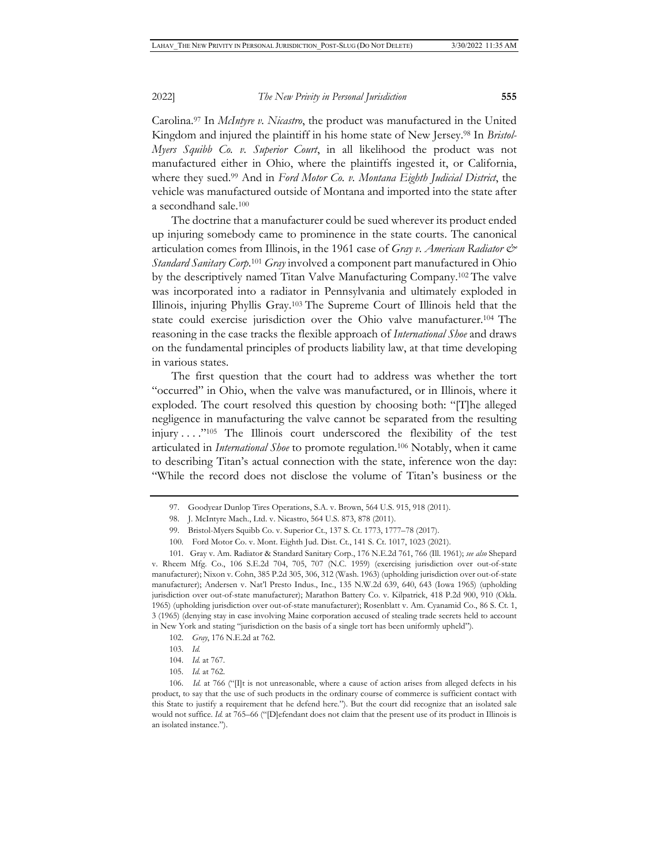Carolina.97 In *McIntyre v. Nicastro*, the product was manufactured in the United Kingdom and injured the plaintiff in his home state of New Jersey.98 In *Bristol-Myers Squibb Co. v. Superior Court*, in all likelihood the product was not manufactured either in Ohio, where the plaintiffs ingested it, or California, where they sued.99 And in *Ford Motor Co. v. Montana Eighth Judicial District*, the vehicle was manufactured outside of Montana and imported into the state after a secondhand sale.100

The doctrine that a manufacturer could be sued wherever its product ended up injuring somebody came to prominence in the state courts. The canonical articulation comes from Illinois, in the 1961 case of *Gray v. American Radiator & Standard Sanitary Corp*. <sup>101</sup> *Gray* involved a component part manufactured in Ohio by the descriptively named Titan Valve Manufacturing Company.102 The valve was incorporated into a radiator in Pennsylvania and ultimately exploded in Illinois, injuring Phyllis Gray.103 The Supreme Court of Illinois held that the state could exercise jurisdiction over the Ohio valve manufacturer.104 The reasoning in the case tracks the flexible approach of *International Shoe* and draws on the fundamental principles of products liability law, at that time developing in various states.

The first question that the court had to address was whether the tort "occurred" in Ohio, when the valve was manufactured, or in Illinois, where it exploded. The court resolved this question by choosing both: "[T]he alleged negligence in manufacturing the valve cannot be separated from the resulting injury . . . ."105 The Illinois court underscored the flexibility of the test articulated in *International Shoe* to promote regulation.106 Notably, when it came to describing Titan's actual connection with the state, inference won the day: "While the record does not disclose the volume of Titan's business or the

<sup>97.</sup> Goodyear Dunlop Tires Operations, S.A. v. Brown, 564 U.S. 915, 918 (2011).

<sup>98.</sup> J. McIntyre Mach., Ltd. v. Nicastro, 564 U.S. 873, 878 (2011).

<sup>99.</sup> Bristol-Myers Squibb Co. v. Superior Ct., 137 S. Ct. 1773, 1777–78 (2017).

<sup>100.</sup> Ford Motor Co. v. Mont. Eighth Jud. Dist. Ct., 141 S. Ct. 1017, 1023 (2021).

<sup>101.</sup> Gray v. Am. Radiator & Standard Sanitary Corp., 176 N.E.2d 761, 766 (Ill. 1961); *see also* Shepard v. Rheem Mfg. Co., 106 S.E.2d 704, 705, 707 (N.C. 1959) (exercising jurisdiction over out-of-state manufacturer); Nixon v. Cohn, 385 P.2d 305, 306, 312 (Wash. 1963) (upholding jurisdiction over out-of-state manufacturer); Andersen v. Nat'l Presto Indus., Inc., 135 N.W.2d 639, 640, 643 (Iowa 1965) (upholding jurisdiction over out-of-state manufacturer); Marathon Battery Co. v. Kilpatrick, 418 P.2d 900, 910 (Okla. 1965) (upholding jurisdiction over out-of-state manufacturer); Rosenblatt v. Am. Cyanamid Co., 86 S. Ct. 1, 3 (1965) (denying stay in case involving Maine corporation accused of stealing trade secrets held to account in New York and stating "jurisdiction on the basis of a single tort has been uniformly upheld").

<sup>102.</sup> *Gray*, 176 N.E.2d at 762.

<sup>103.</sup> *Id.*

<sup>104.</sup> *Id.* at 767.

<sup>105.</sup> *Id.* at 762.

<sup>106.</sup> *Id.* at 766 ("[I]t is not unreasonable, where a cause of action arises from alleged defects in his product, to say that the use of such products in the ordinary course of commerce is sufficient contact with this State to justify a requirement that he defend here."). But the court did recognize that an isolated sale would not suffice. *Id.* at 765–66 ("D]efendant does not claim that the present use of its product in Illinois is an isolated instance.").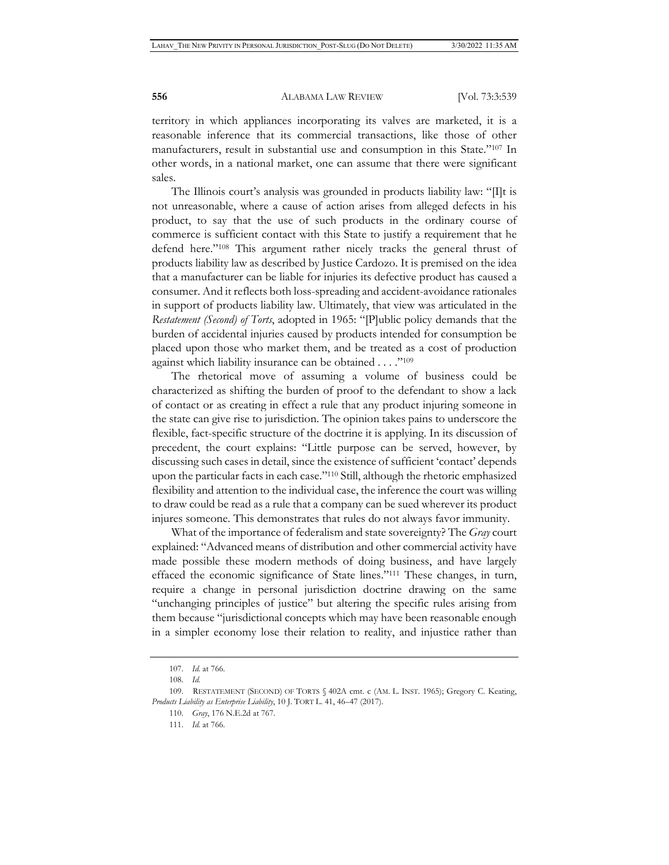territory in which appliances incorporating its valves are marketed, it is a reasonable inference that its commercial transactions, like those of other manufacturers, result in substantial use and consumption in this State."107 In other words, in a national market, one can assume that there were significant sales.

The Illinois court's analysis was grounded in products liability law: "[I]t is not unreasonable, where a cause of action arises from alleged defects in his product, to say that the use of such products in the ordinary course of commerce is sufficient contact with this State to justify a requirement that he defend here."108 This argument rather nicely tracks the general thrust of products liability law as described by Justice Cardozo. It is premised on the idea that a manufacturer can be liable for injuries its defective product has caused a consumer. And it reflects both loss-spreading and accident-avoidance rationales in support of products liability law. Ultimately, that view was articulated in the *Restatement (Second) of Torts*, adopted in 1965: "[P]ublic policy demands that the burden of accidental injuries caused by products intended for consumption be placed upon those who market them, and be treated as a cost of production against which liability insurance can be obtained . . . ."109

The rhetorical move of assuming a volume of business could be characterized as shifting the burden of proof to the defendant to show a lack of contact or as creating in effect a rule that any product injuring someone in the state can give rise to jurisdiction. The opinion takes pains to underscore the flexible, fact-specific structure of the doctrine it is applying. In its discussion of precedent, the court explains: "Little purpose can be served, however, by discussing such cases in detail, since the existence of sufficient 'contact' depends upon the particular facts in each case."110 Still, although the rhetoric emphasized flexibility and attention to the individual case, the inference the court was willing to draw could be read as a rule that a company can be sued wherever its product injures someone. This demonstrates that rules do not always favor immunity.

What of the importance of federalism and state sovereignty? The *Gray* court explained: "Advanced means of distribution and other commercial activity have made possible these modern methods of doing business, and have largely effaced the economic significance of State lines."111 These changes, in turn, require a change in personal jurisdiction doctrine drawing on the same "unchanging principles of justice" but altering the specific rules arising from them because "jurisdictional concepts which may have been reasonable enough in a simpler economy lose their relation to reality, and injustice rather than

<sup>107.</sup> *Id.* at 766.

<sup>108.</sup> *Id.*

<sup>109.</sup> RESTATEMENT (SECOND) OF TORTS § 402A cmt. c (AM. L. INST. 1965); Gregory C. Keating, *Products Liability as Enterprise Liability*, 10 J. TORT L. 41, 46–47 (2017).

<sup>110.</sup> *Gray*, 176 N.E.2d at 767.

<sup>111.</sup> *Id.* at 766.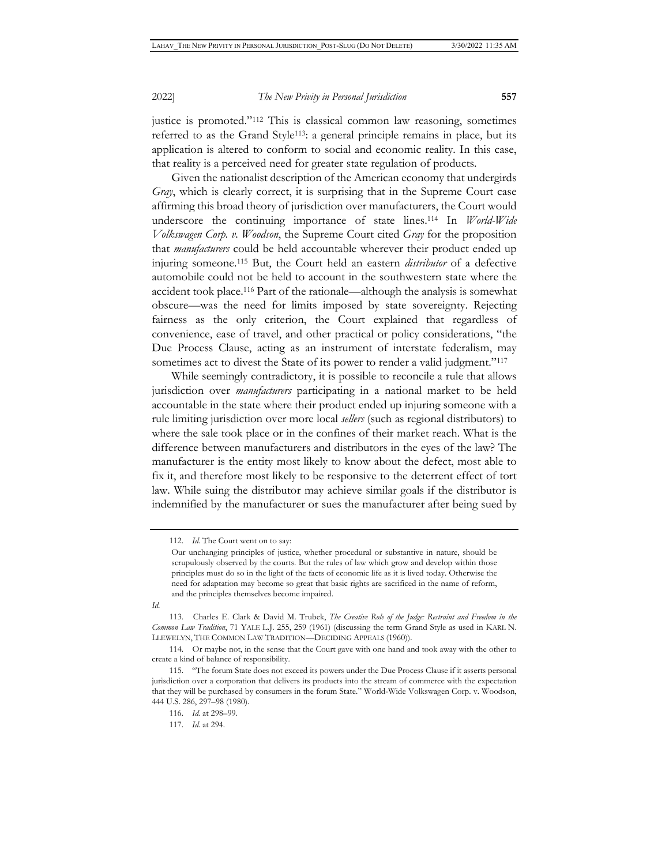justice is promoted."112 This is classical common law reasoning, sometimes referred to as the Grand Style<sup>113</sup>: a general principle remains in place, but its application is altered to conform to social and economic reality. In this case, that reality is a perceived need for greater state regulation of products.

Given the nationalist description of the American economy that undergirds *Gray*, which is clearly correct, it is surprising that in the Supreme Court case affirming this broad theory of jurisdiction over manufacturers, the Court would underscore the continuing importance of state lines.114 In *World-Wide Volkswagen Corp. v. Woodson*, the Supreme Court cited *Gray* for the proposition that *manufacturers* could be held accountable wherever their product ended up injuring someone.115 But, the Court held an eastern *distributor* of a defective automobile could not be held to account in the southwestern state where the accident took place.116 Part of the rationale—although the analysis is somewhat obscure—was the need for limits imposed by state sovereignty. Rejecting fairness as the only criterion, the Court explained that regardless of convenience, ease of travel, and other practical or policy considerations, "the Due Process Clause, acting as an instrument of interstate federalism, may sometimes act to divest the State of its power to render a valid judgment."<sup>117</sup>

While seemingly contradictory, it is possible to reconcile a rule that allows jurisdiction over *manufacturers* participating in a national market to be held accountable in the state where their product ended up injuring someone with a rule limiting jurisdiction over more local *sellers* (such as regional distributors) to where the sale took place or in the confines of their market reach. What is the difference between manufacturers and distributors in the eyes of the law? The manufacturer is the entity most likely to know about the defect, most able to fix it, and therefore most likely to be responsive to the deterrent effect of tort law. While suing the distributor may achieve similar goals if the distributor is indemnified by the manufacturer or sues the manufacturer after being sued by

*Id.*

<sup>112.</sup> *Id.* The Court went on to say:

Our unchanging principles of justice, whether procedural or substantive in nature, should be scrupulously observed by the courts. But the rules of law which grow and develop within those principles must do so in the light of the facts of economic life as it is lived today. Otherwise the need for adaptation may become so great that basic rights are sacrificed in the name of reform, and the principles themselves become impaired.

<sup>113.</sup> Charles E. Clark & David M. Trubek, *The Creative Role of the Judge: Restraint and Freedom in the Common Law Tradition*, 71 YALE L.J. 255, 259 (1961) (discussing the term Grand Style as used in KARL N. LLEWELYN, THE COMMON LAW TRADITION—DECIDING APPEALS (1960)).

<sup>114.</sup> Or maybe not, in the sense that the Court gave with one hand and took away with the other to create a kind of balance of responsibility.

<sup>115. &</sup>quot;The forum State does not exceed its powers under the Due Process Clause if it asserts personal jurisdiction over a corporation that delivers its products into the stream of commerce with the expectation that they will be purchased by consumers in the forum State." World-Wide Volkswagen Corp. v. Woodson, 444 U.S. 286, 297–98 (1980).

<sup>116.</sup> *Id.* at 298–99.

<sup>117.</sup> *Id.* at 294.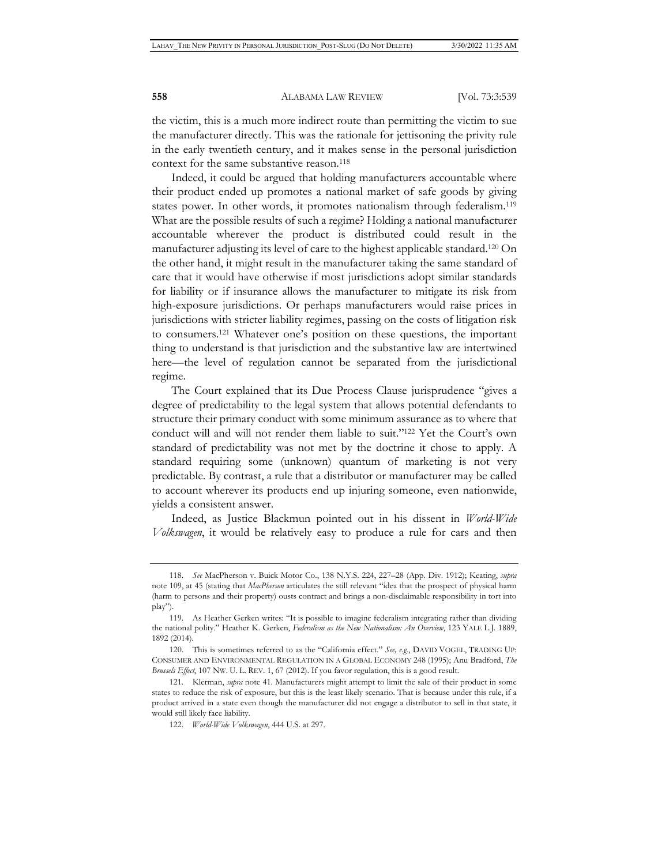the victim, this is a much more indirect route than permitting the victim to sue the manufacturer directly. This was the rationale for jettisoning the privity rule in the early twentieth century, and it makes sense in the personal jurisdiction context for the same substantive reason.<sup>118</sup>

Indeed, it could be argued that holding manufacturers accountable where their product ended up promotes a national market of safe goods by giving states power. In other words, it promotes nationalism through federalism.119 What are the possible results of such a regime? Holding a national manufacturer accountable wherever the product is distributed could result in the manufacturer adjusting its level of care to the highest applicable standard.120 On the other hand, it might result in the manufacturer taking the same standard of care that it would have otherwise if most jurisdictions adopt similar standards for liability or if insurance allows the manufacturer to mitigate its risk from high-exposure jurisdictions. Or perhaps manufacturers would raise prices in jurisdictions with stricter liability regimes, passing on the costs of litigation risk to consumers.121 Whatever one's position on these questions, the important thing to understand is that jurisdiction and the substantive law are intertwined here—the level of regulation cannot be separated from the jurisdictional regime.

The Court explained that its Due Process Clause jurisprudence "gives a degree of predictability to the legal system that allows potential defendants to structure their primary conduct with some minimum assurance as to where that conduct will and will not render them liable to suit."122 Yet the Court's own standard of predictability was not met by the doctrine it chose to apply. A standard requiring some (unknown) quantum of marketing is not very predictable. By contrast, a rule that a distributor or manufacturer may be called to account wherever its products end up injuring someone, even nationwide, yields a consistent answer.

Indeed, as Justice Blackmun pointed out in his dissent in *World-Wide Volkswagen*, it would be relatively easy to produce a rule for cars and then

<sup>118.</sup> *See* MacPherson v. Buick Motor Co., 138 N.Y.S. 224, 227–28 (App. Div. 1912); Keating, *supra*  note 109, at 45 (stating that *MacPherson* articulates the still relevant "idea that the prospect of physical harm (harm to persons and their property) ousts contract and brings a non-disclaimable responsibility in tort into play").

<sup>119.</sup> As Heather Gerken writes: "It is possible to imagine federalism integrating rather than dividing the national polity." Heather K. Gerken, *Federalism as the New Nationalism: An Overview*, 123 YALE L.J. 1889, 1892 (2014).

<sup>120.</sup> This is sometimes referred to as the "California effect." *See, e.g.*, DAVID VOGEL, TRADING UP: CONSUMER AND ENVIRONMENTAL REGULATION IN A GLOBAL ECONOMY 248 (1995); Anu Bradford, *The Brussels Effect*, 107 NW. U. L. REV. 1, 67 (2012). If you favor regulation, this is a good result.

<sup>121.</sup> Klerman, *supra* note 41. Manufacturers might attempt to limit the sale of their product in some states to reduce the risk of exposure, but this is the least likely scenario. That is because under this rule, if a product arrived in a state even though the manufacturer did not engage a distributor to sell in that state, it would still likely face liability.

<sup>122.</sup> *World-Wide Volkswagen*, 444 U.S. at 297.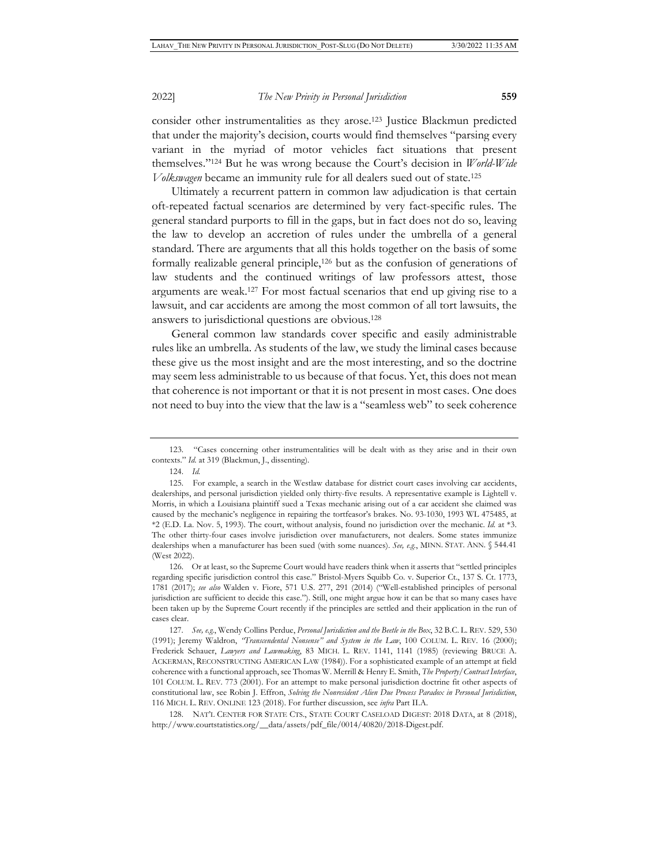consider other instrumentalities as they arose.123 Justice Blackmun predicted that under the majority's decision, courts would find themselves "parsing every variant in the myriad of motor vehicles fact situations that present themselves."124 But he was wrong because the Court's decision in *World-Wide Volkswagen* became an immunity rule for all dealers sued out of state.125

Ultimately a recurrent pattern in common law adjudication is that certain oft-repeated factual scenarios are determined by very fact-specific rules. The general standard purports to fill in the gaps, but in fact does not do so, leaving the law to develop an accretion of rules under the umbrella of a general standard. There are arguments that all this holds together on the basis of some formally realizable general principle,126 but as the confusion of generations of law students and the continued writings of law professors attest, those arguments are weak.127 For most factual scenarios that end up giving rise to a lawsuit, and car accidents are among the most common of all tort lawsuits, the answers to jurisdictional questions are obvious.128

General common law standards cover specific and easily administrable rules like an umbrella. As students of the law, we study the liminal cases because these give us the most insight and are the most interesting, and so the doctrine may seem less administrable to us because of that focus. Yet, this does not mean that coherence is not important or that it is not present in most cases. One does not need to buy into the view that the law is a "seamless web" to seek coherence

<sup>123. &</sup>quot;Cases concerning other instrumentalities will be dealt with as they arise and in their own contexts." *Id.* at 319 (Blackmun, J., dissenting).

<sup>124.</sup> *Id.*

<sup>125.</sup> For example, a search in the Westlaw database for district court cases involving car accidents, dealerships, and personal jurisdiction yielded only thirty-five results. A representative example is Lightell v. Morris, in which a Louisiana plaintiff sued a Texas mechanic arising out of a car accident she claimed was caused by the mechanic's negligence in repairing the tortfeasor's brakes. No. 93-1030, 1993 WL 475485, at \*2 (E.D. La. Nov. 5, 1993). The court, without analysis, found no jurisdiction over the mechanic. *Id.* at \*3. The other thirty-four cases involve jurisdiction over manufacturers, not dealers. Some states immunize dealerships when a manufacturer has been sued (with some nuances). *See, e.g.*, MINN. STAT. ANN. § 544.41 (West 2022).

<sup>126.</sup> Or at least, so the Supreme Court would have readers think when it asserts that "settled principles regarding specific jurisdiction control this case." Bristol-Myers Squibb Co. v. Superior Ct., 137 S. Ct. 1773, 1781 (2017); *see also* Walden v. Fiore, 571 U.S. 277, 291 (2014) ("Well-established principles of personal jurisdiction are sufficient to decide this case."). Still, one might argue how it can be that so many cases have been taken up by the Supreme Court recently if the principles are settled and their application in the run of cases clear.

<sup>127</sup>*. See, e.g.*, Wendy Collins Perdue, *Personal Jurisdiction and the Beetle in the Box*, 32 B.C. L. REV. 529, 530 (1991); Jeremy Waldron, *"Transcendental Nonsense" and System in the Law*, 100 COLUM. L. REV. 16 (2000); Frederick Schauer, *Lawyers and Lawmaking*, 83 MICH. L. REV. 1141, 1141 (1985) (reviewing BRUCE A. ACKERMAN, RECONSTRUCTING AMERICAN LAW (1984)). For a sophisticated example of an attempt at field coherence with a functional approach, see Thomas W. Merrill & Henry E. Smith, *The Property/Contract Interface*, 101 COLUM. L. REV. 773 (2001). For an attempt to make personal jurisdiction doctrine fit other aspects of constitutional law, see Robin J. Effron, *Solving the Nonresident Alien Due Process Paradox in Personal Jurisdiction*, 116 MICH. L. REV. ONLINE 123 (2018). For further discussion, see *infra* Part II.A.

<sup>128.</sup> NAT'L CENTER FOR STATE CTS., STATE COURT CASELOAD DIGEST: 2018 DATA, at 8 (2018), http://www.courtstatistics.org/\_\_data/assets/pdf\_file/0014/40820/2018-Digest.pdf.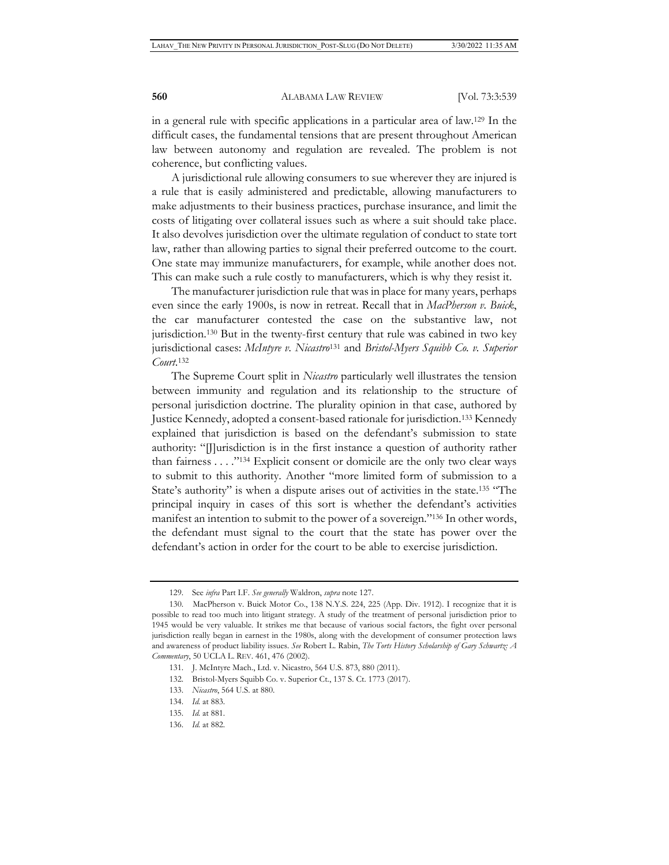in a general rule with specific applications in a particular area of law.129 In the difficult cases, the fundamental tensions that are present throughout American law between autonomy and regulation are revealed. The problem is not coherence, but conflicting values.

A jurisdictional rule allowing consumers to sue wherever they are injured is a rule that is easily administered and predictable, allowing manufacturers to make adjustments to their business practices, purchase insurance, and limit the costs of litigating over collateral issues such as where a suit should take place. It also devolves jurisdiction over the ultimate regulation of conduct to state tort law, rather than allowing parties to signal their preferred outcome to the court. One state may immunize manufacturers, for example, while another does not. This can make such a rule costly to manufacturers, which is why they resist it.

The manufacturer jurisdiction rule that was in place for many years, perhaps even since the early 1900s, is now in retreat. Recall that in *MacPherson v. Buick*, the car manufacturer contested the case on the substantive law, not jurisdiction.130 But in the twenty-first century that rule was cabined in two key jurisdictional cases: *McIntyre v. Nicastro*131 and *Bristol-Myers Squibb Co. v. Superior Court*. 132

The Supreme Court split in *Nicastro* particularly well illustrates the tension between immunity and regulation and its relationship to the structure of personal jurisdiction doctrine. The plurality opinion in that case, authored by Justice Kennedy, adopted a consent-based rationale for jurisdiction.133 Kennedy explained that jurisdiction is based on the defendant's submission to state authority: "[J]urisdiction is in the first instance a question of authority rather than fairness . . . ."134 Explicit consent or domicile are the only two clear ways to submit to this authority. Another "more limited form of submission to a State's authority" is when a dispute arises out of activities in the state.135 "The principal inquiry in cases of this sort is whether the defendant's activities manifest an intention to submit to the power of a sovereign."136 In other words, the defendant must signal to the court that the state has power over the defendant's action in order for the court to be able to exercise jurisdiction.

<sup>129.</sup> See *infra* Part I.F. *See generally* Waldron, *supra* note 127.

<sup>130.</sup> MacPherson v. Buick Motor Co., 138 N.Y.S. 224, 225 (App. Div. 1912). I recognize that it is possible to read too much into litigant strategy. A study of the treatment of personal jurisdiction prior to 1945 would be very valuable. It strikes me that because of various social factors, the fight over personal jurisdiction really began in earnest in the 1980s, along with the development of consumer protection laws and awareness of product liability issues. *See* Robert L. Rabin, *The Torts History Scholarship of Gary Schwartz: A Commentary*, 50 UCLA L. REV. 461, 476 (2002).

<sup>131.</sup> J. McIntyre Mach., Ltd. v. Nicastro, 564 U.S. 873, 880 (2011).

<sup>132.</sup> Bristol-Myers Squibb Co. v. Superior Ct., 137 S. Ct. 1773 (2017).

<sup>133.</sup> *Nicastro*, 564 U.S. at 880.

<sup>134.</sup> *Id.* at 883.

<sup>135.</sup> *Id.* at 881.

<sup>136.</sup> *Id.* at 882.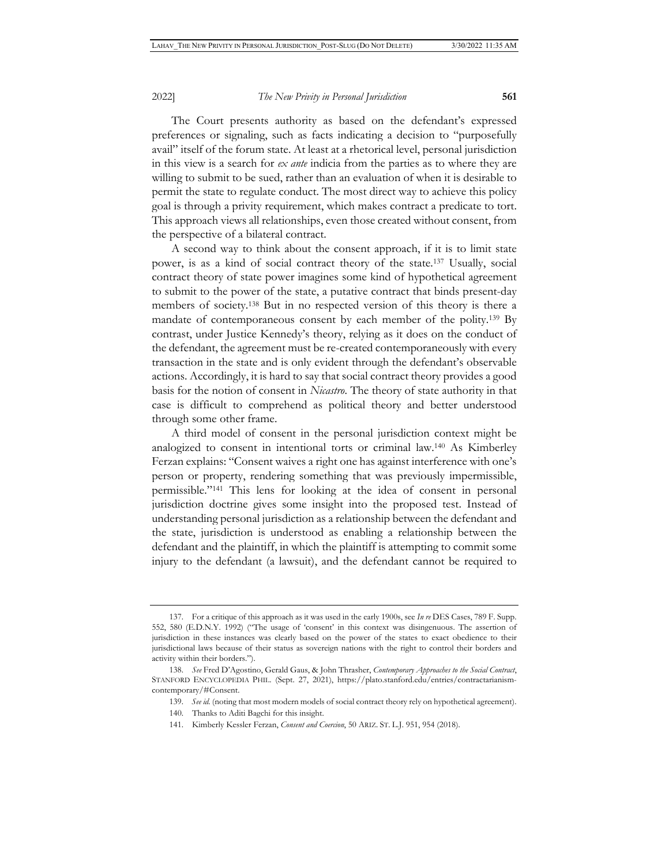The Court presents authority as based on the defendant's expressed preferences or signaling, such as facts indicating a decision to "purposefully avail" itself of the forum state. At least at a rhetorical level, personal jurisdiction in this view is a search for *ex ante* indicia from the parties as to where they are willing to submit to be sued, rather than an evaluation of when it is desirable to permit the state to regulate conduct. The most direct way to achieve this policy goal is through a privity requirement, which makes contract a predicate to tort. This approach views all relationships, even those created without consent, from the perspective of a bilateral contract.

A second way to think about the consent approach, if it is to limit state power, is as a kind of social contract theory of the state.137 Usually, social contract theory of state power imagines some kind of hypothetical agreement to submit to the power of the state, a putative contract that binds present-day members of society.138 But in no respected version of this theory is there a mandate of contemporaneous consent by each member of the polity.139 By contrast, under Justice Kennedy's theory, relying as it does on the conduct of the defendant, the agreement must be re-created contemporaneously with every transaction in the state and is only evident through the defendant's observable actions. Accordingly, it is hard to say that social contract theory provides a good basis for the notion of consent in *Nicastro*. The theory of state authority in that case is difficult to comprehend as political theory and better understood through some other frame.

A third model of consent in the personal jurisdiction context might be analogized to consent in intentional torts or criminal law.140 As Kimberley Ferzan explains: "Consent waives a right one has against interference with one's person or property, rendering something that was previously impermissible, permissible."141 This lens for looking at the idea of consent in personal jurisdiction doctrine gives some insight into the proposed test. Instead of understanding personal jurisdiction as a relationship between the defendant and the state, jurisdiction is understood as enabling a relationship between the defendant and the plaintiff, in which the plaintiff is attempting to commit some injury to the defendant (a lawsuit), and the defendant cannot be required to

<sup>137.</sup> For a critique of this approach as it was used in the early 1900s, see *In re* DES Cases, 789 F. Supp. 552, 580 (E.D.N.Y. 1992) ("The usage of 'consent' in this context was disingenuous. The assertion of jurisdiction in these instances was clearly based on the power of the states to exact obedience to their jurisdictional laws because of their status as sovereign nations with the right to control their borders and activity within their borders.").

<sup>138.</sup> *See* Fred D'Agostino, Gerald Gaus, & John Thrasher, *Contemporary Approaches to the Social Contract*, STANFORD ENCYCLOPEDIA PHIL. (Sept. 27, 2021), https://plato.stanford.edu/entries/contractarianismcontemporary/#Consent.

<sup>139.</sup> *See id.* (noting that most modern models of social contract theory rely on hypothetical agreement).

<sup>140.</sup> Thanks to Aditi Bagchi for this insight.

<sup>141.</sup> Kimberly Kessler Ferzan, *Consent and Coercion*, 50 ARIZ. ST. L.J. 951, 954 (2018).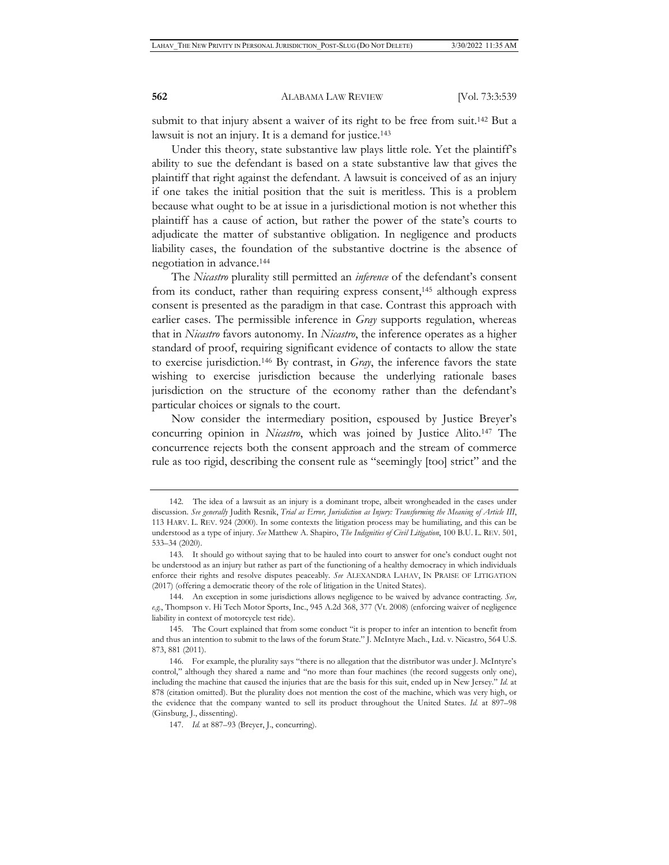submit to that injury absent a waiver of its right to be free from suit.<sup>142</sup> But a lawsuit is not an injury. It is a demand for justice.<sup>143</sup>

Under this theory, state substantive law plays little role. Yet the plaintiff's ability to sue the defendant is based on a state substantive law that gives the plaintiff that right against the defendant. A lawsuit is conceived of as an injury if one takes the initial position that the suit is meritless. This is a problem because what ought to be at issue in a jurisdictional motion is not whether this plaintiff has a cause of action, but rather the power of the state's courts to adjudicate the matter of substantive obligation. In negligence and products liability cases, the foundation of the substantive doctrine is the absence of negotiation in advance.144

The *Nicastro* plurality still permitted an *inference* of the defendant's consent from its conduct, rather than requiring express consent,145 although express consent is presented as the paradigm in that case. Contrast this approach with earlier cases. The permissible inference in *Gray* supports regulation, whereas that in *Nicastro* favors autonomy. In *Nicastro*, the inference operates as a higher standard of proof, requiring significant evidence of contacts to allow the state to exercise jurisdiction.146 By contrast, in *Gray*, the inference favors the state wishing to exercise jurisdiction because the underlying rationale bases jurisdiction on the structure of the economy rather than the defendant's particular choices or signals to the court.

Now consider the intermediary position, espoused by Justice Breyer's concurring opinion in *Nicastro*, which was joined by Justice Alito.147 The concurrence rejects both the consent approach and the stream of commerce rule as too rigid, describing the consent rule as "seemingly [too] strict" and the

<sup>142.</sup> The idea of a lawsuit as an injury is a dominant trope, albeit wrongheaded in the cases under discussion. *See generally* Judith Resnik, *Trial as Error, Jurisdiction as Injury: Transforming the Meaning of Article III*, 113 HARV. L. REV. 924 (2000). In some contexts the litigation process may be humiliating, and this can be understood as a type of injury. *See* Matthew A. Shapiro, *The Indignities of Civil Litigation*, 100 B.U. L. REV. 501, 533–34 (2020).

<sup>143.</sup> It should go without saying that to be hauled into court to answer for one's conduct ought not be understood as an injury but rather as part of the functioning of a healthy democracy in which individuals enforce their rights and resolve disputes peaceably. *See* ALEXANDRA LAHAV, IN PRAISE OF LITIGATION (2017) (offering a democratic theory of the role of litigation in the United States).

<sup>144.</sup> An exception in some jurisdictions allows negligence to be waived by advance contracting. *See, e.g.*, Thompson v. Hi Tech Motor Sports, Inc., 945 A.2d 368, 377 (Vt. 2008) (enforcing waiver of negligence liability in context of motorcycle test ride).

<sup>145.</sup> The Court explained that from some conduct "it is proper to infer an intention to benefit from and thus an intention to submit to the laws of the forum State." J. McIntyre Mach., Ltd. v. Nicastro, 564 U.S. 873, 881 (2011).

<sup>146.</sup> For example, the plurality says "there is no allegation that the distributor was under J. McIntyre's control," although they shared a name and "no more than four machines (the record suggests only one), including the machine that caused the injuries that are the basis for this suit, ended up in New Jersey." *Id.* at 878 (citation omitted). But the plurality does not mention the cost of the machine, which was very high, or the evidence that the company wanted to sell its product throughout the United States. *Id.* at 897–98 (Ginsburg, J., dissenting).

<sup>147.</sup> *Id.* at 887–93 (Breyer, J., concurring).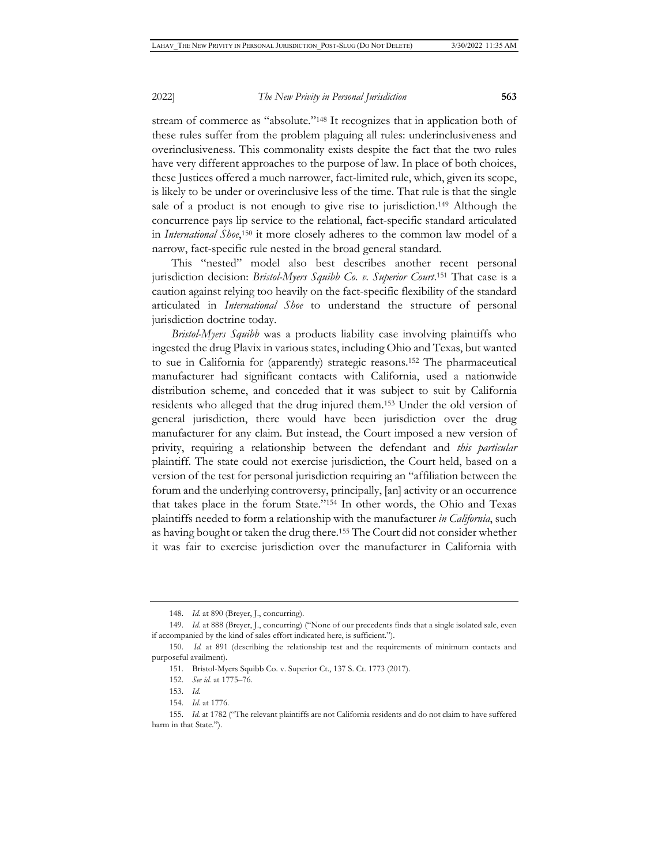stream of commerce as "absolute."148 It recognizes that in application both of these rules suffer from the problem plaguing all rules: underinclusiveness and overinclusiveness. This commonality exists despite the fact that the two rules have very different approaches to the purpose of law. In place of both choices, these Justices offered a much narrower, fact-limited rule, which, given its scope, is likely to be under or overinclusive less of the time. That rule is that the single sale of a product is not enough to give rise to jurisdiction.149 Although the concurrence pays lip service to the relational, fact-specific standard articulated in *International Shoe*,<sup>150</sup> it more closely adheres to the common law model of a narrow, fact-specific rule nested in the broad general standard.

This "nested" model also best describes another recent personal jurisdiction decision: *Bristol-Myers Squibb Co. v. Superior Court*. 151 That case is a caution against relying too heavily on the fact-specific flexibility of the standard articulated in *International Shoe* to understand the structure of personal jurisdiction doctrine today.

*Bristol-Myers Squibb* was a products liability case involving plaintiffs who ingested the drug Plavix in various states, including Ohio and Texas, but wanted to sue in California for (apparently) strategic reasons.152 The pharmaceutical manufacturer had significant contacts with California, used a nationwide distribution scheme, and conceded that it was subject to suit by California residents who alleged that the drug injured them.153 Under the old version of general jurisdiction, there would have been jurisdiction over the drug manufacturer for any claim. But instead, the Court imposed a new version of privity, requiring a relationship between the defendant and *this particular* plaintiff. The state could not exercise jurisdiction, the Court held, based on a version of the test for personal jurisdiction requiring an "affiliation between the forum and the underlying controversy, principally, [an] activity or an occurrence that takes place in the forum State."154 In other words, the Ohio and Texas plaintiffs needed to form a relationship with the manufacturer *in California*, such as having bought or taken the drug there.155 The Court did not consider whether it was fair to exercise jurisdiction over the manufacturer in California with

<sup>148.</sup> *Id.* at 890 (Breyer, J., concurring).

<sup>149.</sup> *Id.* at 888 (Breyer, J., concurring) ("None of our precedents finds that a single isolated sale, even if accompanied by the kind of sales effort indicated here, is sufficient.").

<sup>150.</sup> *Id.* at 891 (describing the relationship test and the requirements of minimum contacts and purposeful availment).

<sup>151.</sup> Bristol-Myers Squibb Co. v. Superior Ct., 137 S. Ct. 1773 (2017).

<sup>152.</sup> *See id.* at 1775–76.

<sup>153.</sup> *Id.*

<sup>154.</sup> *Id.* at 1776.

<sup>155.</sup> *Id.* at 1782 ("The relevant plaintiffs are not California residents and do not claim to have suffered harm in that State.").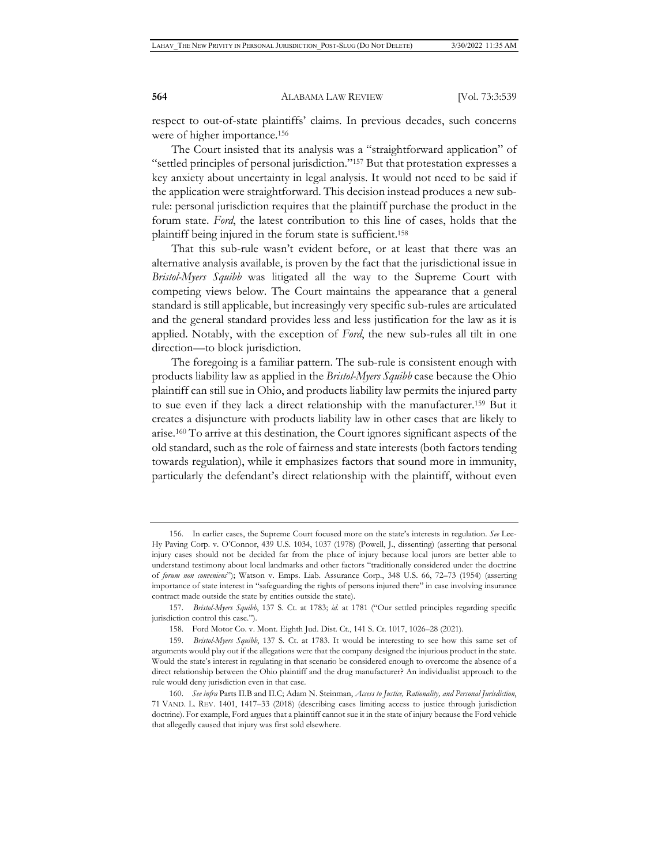respect to out-of-state plaintiffs' claims. In previous decades, such concerns were of higher importance.156

The Court insisted that its analysis was a "straightforward application" of "settled principles of personal jurisdiction."157 But that protestation expresses a key anxiety about uncertainty in legal analysis. It would not need to be said if the application were straightforward. This decision instead produces a new subrule: personal jurisdiction requires that the plaintiff purchase the product in the forum state. *Ford*, the latest contribution to this line of cases, holds that the plaintiff being injured in the forum state is sufficient.158

That this sub-rule wasn't evident before, or at least that there was an alternative analysis available, is proven by the fact that the jurisdictional issue in *Bristol-Myers Squibb* was litigated all the way to the Supreme Court with competing views below. The Court maintains the appearance that a general standard is still applicable, but increasingly very specific sub-rules are articulated and the general standard provides less and less justification for the law as it is applied. Notably, with the exception of *Ford*, the new sub-rules all tilt in one direction—to block jurisdiction.

The foregoing is a familiar pattern. The sub-rule is consistent enough with products liability law as applied in the *Bristol-Myers Squibb* case because the Ohio plaintiff can still sue in Ohio, and products liability law permits the injured party to sue even if they lack a direct relationship with the manufacturer.159 But it creates a disjuncture with products liability law in other cases that are likely to arise.160 To arrive at this destination, the Court ignores significant aspects of the old standard, such as the role of fairness and state interests (both factors tending towards regulation), while it emphasizes factors that sound more in immunity, particularly the defendant's direct relationship with the plaintiff, without even

<sup>156.</sup> In earlier cases, the Supreme Court focused more on the state's interests in regulation. *See* Lee-Hy Paving Corp. v. O'Connor, 439 U.S. 1034, 1037 (1978) (Powell, J., dissenting) (asserting that personal injury cases should not be decided far from the place of injury because local jurors are better able to understand testimony about local landmarks and other factors "traditionally considered under the doctrine of *forum non conveniens*"); Watson v. Emps. Liab. Assurance Corp., 348 U.S. 66, 72–73 (1954) (asserting importance of state interest in "safeguarding the rights of persons injured there" in case involving insurance contract made outside the state by entities outside the state).

<sup>157.</sup> *Bristol-Myers Squibb*, 137 S. Ct. at 1783; *id.* at 1781 ("Our settled principles regarding specific jurisdiction control this case.").

<sup>158.</sup> Ford Motor Co. v. Mont. Eighth Jud. Dist. Ct., 141 S. Ct. 1017, 1026–28 (2021).

<sup>159.</sup> *Bristol-Myers Squibb*, 137 S. Ct. at 1783. It would be interesting to see how this same set of arguments would play out if the allegations were that the company designed the injurious product in the state. Would the state's interest in regulating in that scenario be considered enough to overcome the absence of a direct relationship between the Ohio plaintiff and the drug manufacturer? An individualist approach to the rule would deny jurisdiction even in that case.

<sup>160.</sup> *See infra* Parts II.B and II.C; Adam N. Steinman, *Access to Justice, Rationality, and Personal Jurisdiction*, 71 VAND. L. REV. 1401, 1417–33 (2018) (describing cases limiting access to justice through jurisdiction doctrine). For example, Ford argues that a plaintiff cannot sue it in the state of injury because the Ford vehicle that allegedly caused that injury was first sold elsewhere.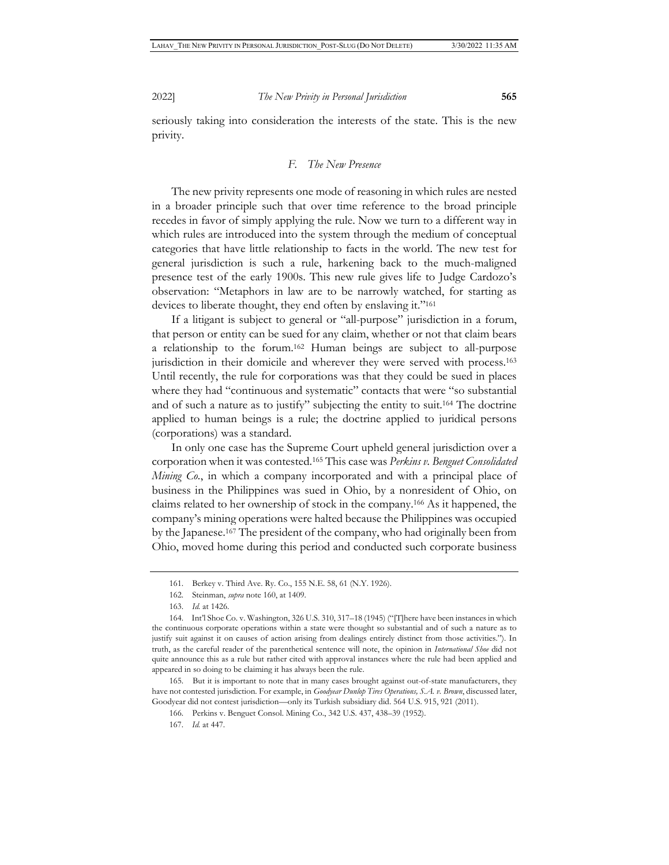seriously taking into consideration the interests of the state. This is the new privity.

# *F. The New Presence*

The new privity represents one mode of reasoning in which rules are nested in a broader principle such that over time reference to the broad principle recedes in favor of simply applying the rule. Now we turn to a different way in which rules are introduced into the system through the medium of conceptual categories that have little relationship to facts in the world. The new test for general jurisdiction is such a rule, harkening back to the much-maligned presence test of the early 1900s. This new rule gives life to Judge Cardozo's observation: "Metaphors in law are to be narrowly watched, for starting as devices to liberate thought, they end often by enslaving it."<sup>161</sup>

If a litigant is subject to general or "all-purpose" jurisdiction in a forum, that person or entity can be sued for any claim, whether or not that claim bears a relationship to the forum.162 Human beings are subject to all-purpose jurisdiction in their domicile and wherever they were served with process.163 Until recently, the rule for corporations was that they could be sued in places where they had "continuous and systematic" contacts that were "so substantial and of such a nature as to justify" subjecting the entity to suit.164 The doctrine applied to human beings is a rule; the doctrine applied to juridical persons (corporations) was a standard.

In only one case has the Supreme Court upheld general jurisdiction over a corporation when it was contested.165 This case was *Perkins v. Benguet Consolidated Mining Co.*, in which a company incorporated and with a principal place of business in the Philippines was sued in Ohio, by a nonresident of Ohio, on claims related to her ownership of stock in the company.166 As it happened, the company's mining operations were halted because the Philippines was occupied by the Japanese.167 The president of the company, who had originally been from Ohio, moved home during this period and conducted such corporate business

<sup>161.</sup> Berkey v. Third Ave. Ry. Co., 155 N.E. 58, 61 (N.Y. 1926).

<sup>162.</sup> Steinman, *supra* note 160, at 1409.

<sup>163.</sup> *Id.* at 1426.

<sup>164.</sup> Int'l Shoe Co. v. Washington, 326 U.S. 310, 317–18 (1945) ("[T]here have been instances in which the continuous corporate operations within a state were thought so substantial and of such a nature as to justify suit against it on causes of action arising from dealings entirely distinct from those activities."). In truth, as the careful reader of the parenthetical sentence will note, the opinion in *International Shoe* did not quite announce this as a rule but rather cited with approval instances where the rule had been applied and appeared in so doing to be claiming it has always been the rule.

<sup>165.</sup> But it is important to note that in many cases brought against out-of-state manufacturers, they have not contested jurisdiction. For example, in *Goodyear Dunlop Tires Operations, S.A. v. Brown*, discussed later, Goodyear did not contest jurisdiction—only its Turkish subsidiary did. 564 U.S. 915, 921 (2011).

<sup>166.</sup> Perkins v. Benguet Consol. Mining Co., 342 U.S. 437, 438–39 (1952).

<sup>167.</sup> *Id.* at 447.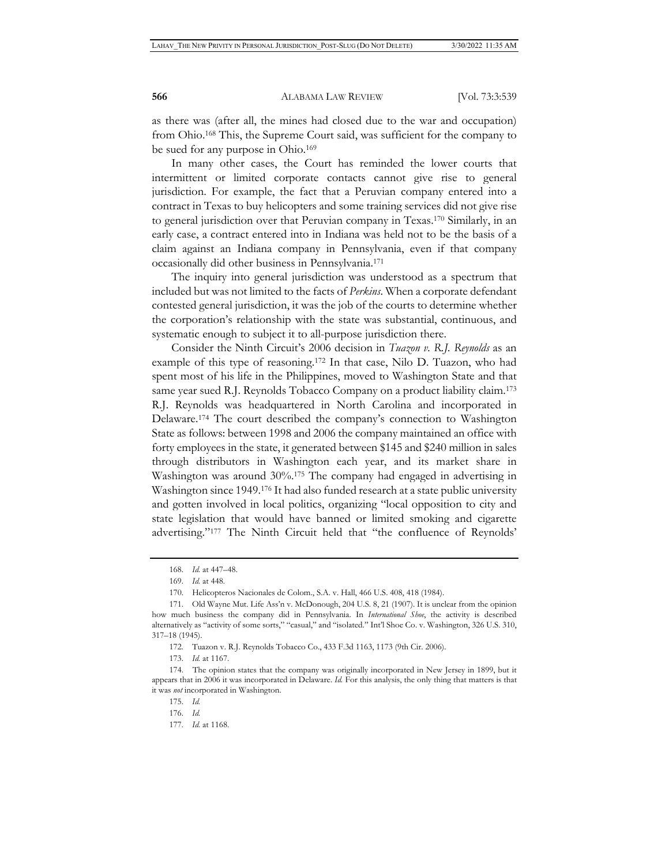as there was (after all, the mines had closed due to the war and occupation) from Ohio.168 This, the Supreme Court said, was sufficient for the company to be sued for any purpose in Ohio.169

In many other cases, the Court has reminded the lower courts that intermittent or limited corporate contacts cannot give rise to general jurisdiction. For example, the fact that a Peruvian company entered into a contract in Texas to buy helicopters and some training services did not give rise to general jurisdiction over that Peruvian company in Texas.170 Similarly, in an early case, a contract entered into in Indiana was held not to be the basis of a claim against an Indiana company in Pennsylvania, even if that company occasionally did other business in Pennsylvania.171

The inquiry into general jurisdiction was understood as a spectrum that included but was not limited to the facts of *Perkins*. When a corporate defendant contested general jurisdiction, it was the job of the courts to determine whether the corporation's relationship with the state was substantial, continuous, and systematic enough to subject it to all-purpose jurisdiction there.

Consider the Ninth Circuit's 2006 decision in *Tuazon v. R.J. Reynolds* as an example of this type of reasoning.172 In that case, Nilo D. Tuazon, who had spent most of his life in the Philippines, moved to Washington State and that same year sued R.J. Reynolds Tobacco Company on a product liability claim.173 R.J. Reynolds was headquartered in North Carolina and incorporated in Delaware.174 The court described the company's connection to Washington State as follows: between 1998 and 2006 the company maintained an office with forty employees in the state, it generated between \$145 and \$240 million in sales through distributors in Washington each year, and its market share in Washington was around 30%.175 The company had engaged in advertising in Washington since 1949.176 It had also funded research at a state public university and gotten involved in local politics, organizing "local opposition to city and state legislation that would have banned or limited smoking and cigarette advertising."177 The Ninth Circuit held that "the confluence of Reynolds'

<sup>168.</sup> *Id.* at 447–48.

<sup>169.</sup> *Id.* at 448.

<sup>170.</sup> Helicopteros Nacionales de Colom., S.A. v. Hall, 466 U.S. 408, 418 (1984).

<sup>171.</sup> Old Wayne Mut. Life Ass'n v. McDonough, 204 U.S. 8, 21 (1907). It is unclear from the opinion how much business the company did in Pennsylvania. In *International Shoe*, the activity is described alternatively as "activity of some sorts," "casual," and "isolated." Int'l Shoe Co. v. Washington, 326 U.S. 310, 317–18 (1945).

<sup>172.</sup> Tuazon v. R.J. Reynolds Tobacco Co., 433 F.3d 1163, 1173 (9th Cir. 2006).

<sup>173.</sup> *Id.* at 1167.

<sup>174.</sup> The opinion states that the company was originally incorporated in New Jersey in 1899, but it appears that in 2006 it was incorporated in Delaware. *Id.* For this analysis, the only thing that matters is that it was *not* incorporated in Washington.

<sup>175.</sup> *Id.*

<sup>176.</sup> *Id.*

<sup>177.</sup> *Id.* at 1168.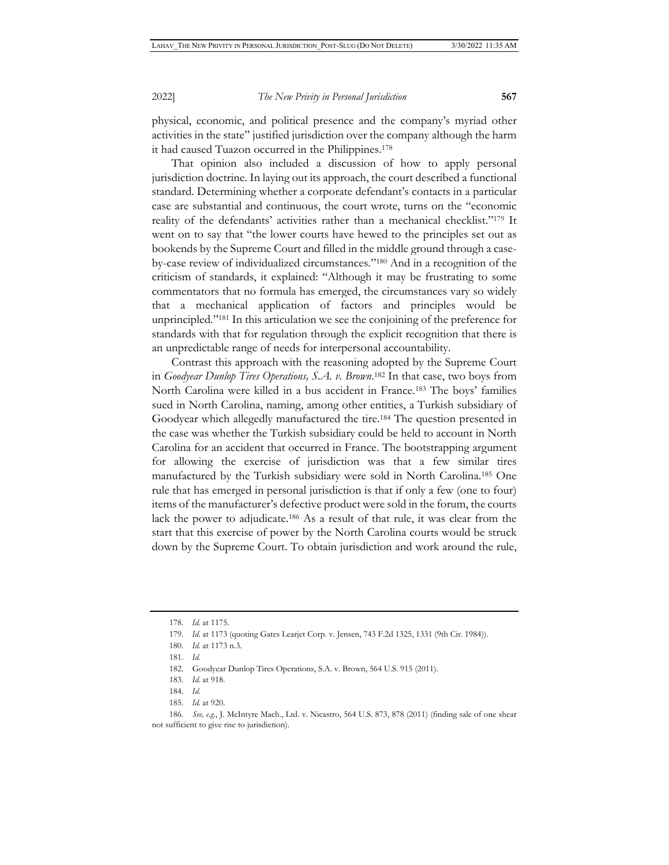physical, economic, and political presence and the company's myriad other activities in the state" justified jurisdiction over the company although the harm it had caused Tuazon occurred in the Philippines.178

That opinion also included a discussion of how to apply personal jurisdiction doctrine. In laying out its approach, the court described a functional standard. Determining whether a corporate defendant's contacts in a particular case are substantial and continuous, the court wrote, turns on the "economic reality of the defendants' activities rather than a mechanical checklist."179 It went on to say that "the lower courts have hewed to the principles set out as bookends by the Supreme Court and filled in the middle ground through a caseby-case review of individualized circumstances."180 And in a recognition of the criticism of standards, it explained: "Although it may be frustrating to some commentators that no formula has emerged, the circumstances vary so widely that a mechanical application of factors and principles would be unprincipled."181 In this articulation we see the conjoining of the preference for standards with that for regulation through the explicit recognition that there is an unpredictable range of needs for interpersonal accountability.

Contrast this approach with the reasoning adopted by the Supreme Court in *Goodyear Dunlop Tires Operations, S.A. v. Brown*. 182 In that case, two boys from North Carolina were killed in a bus accident in France.183 The boys' families sued in North Carolina, naming, among other entities, a Turkish subsidiary of Goodyear which allegedly manufactured the tire.184 The question presented in the case was whether the Turkish subsidiary could be held to account in North Carolina for an accident that occurred in France. The bootstrapping argument for allowing the exercise of jurisdiction was that a few similar tires manufactured by the Turkish subsidiary were sold in North Carolina.185 One rule that has emerged in personal jurisdiction is that if only a few (one to four) items of the manufacturer's defective product were sold in the forum, the courts lack the power to adjudicate.186 As a result of that rule, it was clear from the start that this exercise of power by the North Carolina courts would be struck down by the Supreme Court. To obtain jurisdiction and work around the rule,

- 184. *Id.*
- 185. *Id.* at 920.

<sup>178.</sup> *Id.* at 1175.

<sup>179.</sup> *Id.* at 1173 (quoting Gates Learjet Corp. v. Jensen, 743 F.2d 1325, 1331 (9th Cir. 1984)).

<sup>180.</sup> *Id.* at 1173 n.3.

<sup>181.</sup> *Id.*

<sup>182.</sup> Goodyear Dunlop Tires Operations, S.A. v. Brown, 564 U.S. 915 (2011).

<sup>183.</sup> *Id.* at 918.

<sup>186.</sup> *See, e.g.*, J. McIntyre Mach., Ltd. v. Nicastro, 564 U.S. 873, 878 (2011) (finding sale of one shear not sufficient to give rise to jurisdiction).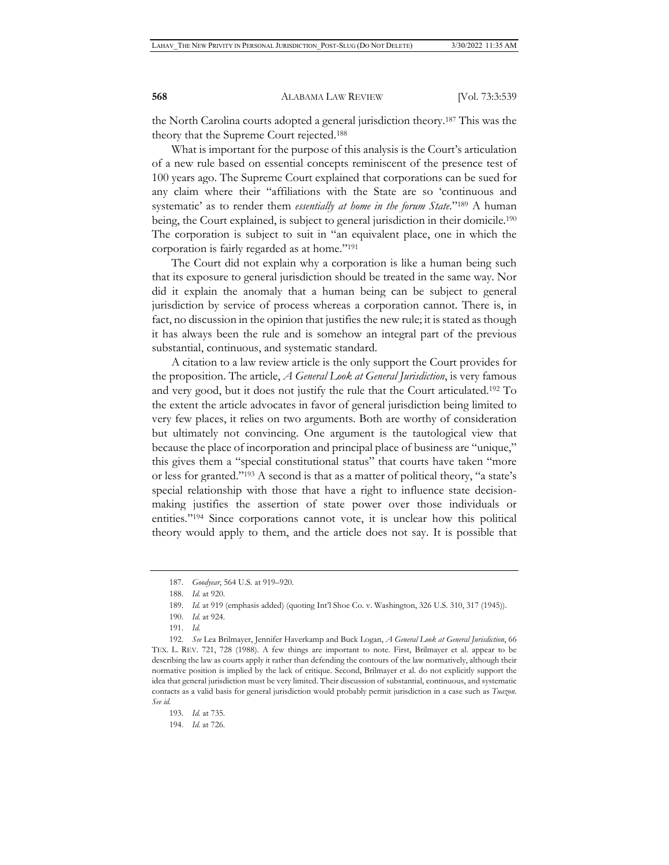the North Carolina courts adopted a general jurisdiction theory.187 This was the theory that the Supreme Court rejected.188

What is important for the purpose of this analysis is the Court's articulation of a new rule based on essential concepts reminiscent of the presence test of 100 years ago. The Supreme Court explained that corporations can be sued for any claim where their "affiliations with the State are so 'continuous and systematic' as to render them *essentially at home in the forum State*."189 A human being, the Court explained, is subject to general jurisdiction in their domicile.<sup>190</sup> The corporation is subject to suit in "an equivalent place, one in which the corporation is fairly regarded as at home."191

The Court did not explain why a corporation is like a human being such that its exposure to general jurisdiction should be treated in the same way. Nor did it explain the anomaly that a human being can be subject to general jurisdiction by service of process whereas a corporation cannot. There is, in fact, no discussion in the opinion that justifies the new rule; it is stated as though it has always been the rule and is somehow an integral part of the previous substantial, continuous, and systematic standard.

A citation to a law review article is the only support the Court provides for the proposition. The article, *A General Look at General Jurisdiction*, is very famous and very good, but it does not justify the rule that the Court articulated.192 To the extent the article advocates in favor of general jurisdiction being limited to very few places, it relies on two arguments. Both are worthy of consideration but ultimately not convincing. One argument is the tautological view that because the place of incorporation and principal place of business are "unique," this gives them a "special constitutional status" that courts have taken "more or less for granted."193 A second is that as a matter of political theory, "a state's special relationship with those that have a right to influence state decisionmaking justifies the assertion of state power over those individuals or entities."194 Since corporations cannot vote, it is unclear how this political theory would apply to them, and the article does not say. It is possible that

194. *Id.* at 726.

<sup>187.</sup> *Goodyear*, 564 U.S*.* at 919–920.

<sup>188.</sup> *Id.* at 920.

<sup>189.</sup> *Id.* at 919 (emphasis added) (quoting Int'l Shoe Co. v. Washington, 326 U.S. 310, 317 (1945)).

<sup>190.</sup> *Id.* at 924.

<sup>191.</sup> *Id.*

<sup>192.</sup> *See* Lea Brilmayer, Jennifer Haverkamp and Buck Logan, *A General Look at General Jurisdiction*, 66 TEX. L. REV. 721, 728 (1988). A few things are important to note. First, Brilmayer et al. appear to be describing the law as courts apply it rather than defending the contours of the law normatively, although their normative position is implied by the lack of critique. Second, Brilmayer et al. do not explicitly support the idea that general jurisdiction must be very limited. Their discussion of substantial, continuous, and systematic contacts as a valid basis for general jurisdiction would probably permit jurisdiction in a case such as *Tuazon*. *See id.*

<sup>193.</sup> *Id.* at 735.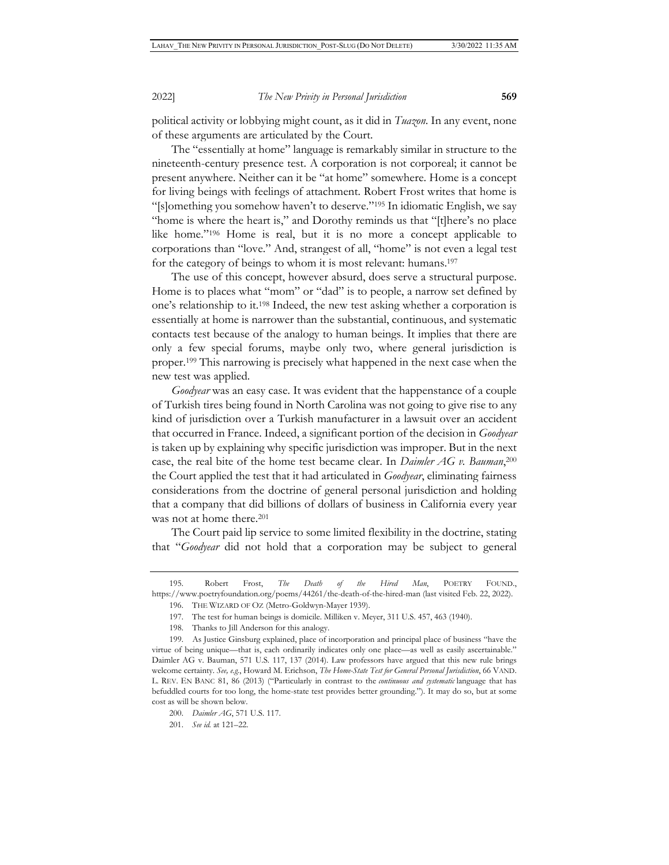political activity or lobbying might count, as it did in *Tuazon*. In any event, none of these arguments are articulated by the Court.

The "essentially at home" language is remarkably similar in structure to the nineteenth-century presence test. A corporation is not corporeal; it cannot be present anywhere. Neither can it be "at home" somewhere. Home is a concept for living beings with feelings of attachment. Robert Frost writes that home is "[s]omething you somehow haven't to deserve."195 In idiomatic English, we say "home is where the heart is," and Dorothy reminds us that "[t]here's no place like home."196 Home is real, but it is no more a concept applicable to corporations than "love." And, strangest of all, "home" is not even a legal test for the category of beings to whom it is most relevant: humans.<sup>197</sup>

The use of this concept, however absurd, does serve a structural purpose. Home is to places what "mom" or "dad" is to people, a narrow set defined by one's relationship to it.198 Indeed, the new test asking whether a corporation is essentially at home is narrower than the substantial, continuous, and systematic contacts test because of the analogy to human beings. It implies that there are only a few special forums, maybe only two, where general jurisdiction is proper.199 This narrowing is precisely what happened in the next case when the new test was applied.

*Goodyear* was an easy case. It was evident that the happenstance of a couple of Turkish tires being found in North Carolina was not going to give rise to any kind of jurisdiction over a Turkish manufacturer in a lawsuit over an accident that occurred in France. Indeed, a significant portion of the decision in *Goodyear* is taken up by explaining why specific jurisdiction was improper. But in the next case, the real bite of the home test became clear. In *Daimler AG v. Bauman*, 200 the Court applied the test that it had articulated in *Goodyear*, eliminating fairness considerations from the doctrine of general personal jurisdiction and holding that a company that did billions of dollars of business in California every year was not at home there.<sup>201</sup>

The Court paid lip service to some limited flexibility in the doctrine, stating that "*Goodyear* did not hold that a corporation may be subject to general

<sup>195.</sup> Robert Frost, *The Death of the Hired Man*, POETRY FOUND., https://www.poetryfoundation.org/poems/44261/the-death-of-the-hired-man (last visited Feb. 22, 2022).

<sup>196.</sup> THE WIZARD OF OZ (Metro-Goldwyn-Mayer 1939).

<sup>197.</sup> The test for human beings is domicile. Milliken v. Meyer, 311 U.S. 457, 463 (1940).

<sup>198.</sup> Thanks to Jill Anderson for this analogy.

<sup>199.</sup> As Justice Ginsburg explained, place of incorporation and principal place of business "have the virtue of being unique—that is, each ordinarily indicates only one place—as well as easily ascertainable." Daimler AG v. Bauman, 571 U.S. 117, 137 (2014). Law professors have argued that this new rule brings welcome certainty. *See, e.g.*, Howard M. Erichson, *The Home-State Test for General Personal Jurisdiction*, 66 VAND. L. REV. EN BANC 81, 86 (2013) ("Particularly in contrast to the *continuous and systematic* language that has befuddled courts for too long, the home-state test provides better grounding."). It may do so, but at some cost as will be shown below.

<sup>200.</sup> *Daimler AG*, 571 U.S. 117.

<sup>201.</sup> *See id.* at 121–22.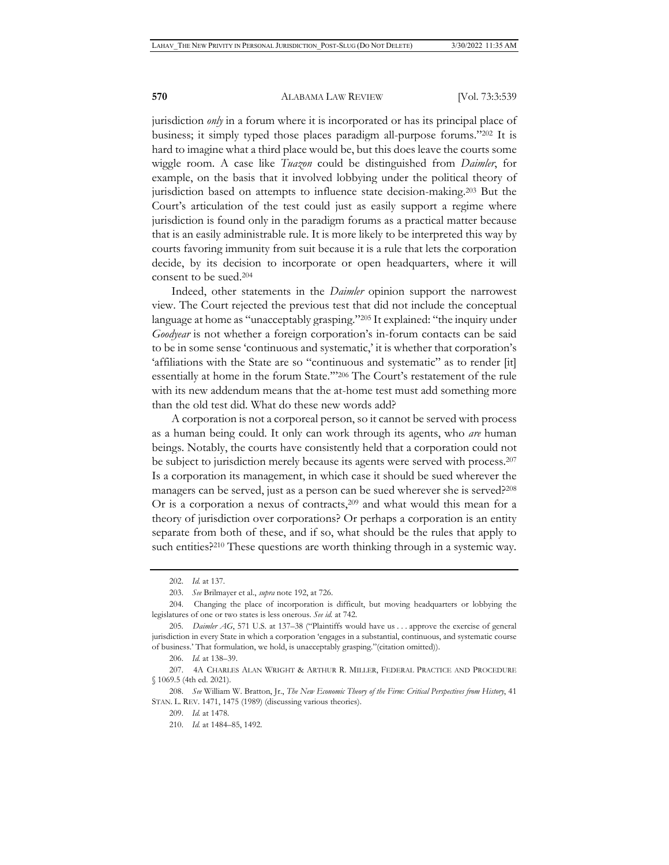jurisdiction *only* in a forum where it is incorporated or has its principal place of business; it simply typed those places paradigm all-purpose forums."202 It is hard to imagine what a third place would be, but this does leave the courts some wiggle room. A case like *Tuazon* could be distinguished from *Daimler*, for example, on the basis that it involved lobbying under the political theory of jurisdiction based on attempts to influence state decision-making.203 But the Court's articulation of the test could just as easily support a regime where jurisdiction is found only in the paradigm forums as a practical matter because that is an easily administrable rule. It is more likely to be interpreted this way by courts favoring immunity from suit because it is a rule that lets the corporation decide, by its decision to incorporate or open headquarters, where it will consent to be sued.204

Indeed, other statements in the *Daimler* opinion support the narrowest view. The Court rejected the previous test that did not include the conceptual language at home as "unacceptably grasping."205 It explained: "the inquiry under *Goodyear* is not whether a foreign corporation's in-forum contacts can be said to be in some sense 'continuous and systematic,' it is whether that corporation's 'affiliations with the State are so "continuous and systematic" as to render [it] essentially at home in the forum State.'"206 The Court's restatement of the rule with its new addendum means that the at-home test must add something more than the old test did. What do these new words add?

A corporation is not a corporeal person, so it cannot be served with process as a human being could. It only can work through its agents, who *are* human beings. Notably, the courts have consistently held that a corporation could not be subject to jurisdiction merely because its agents were served with process.<sup>207</sup> Is a corporation its management, in which case it should be sued wherever the managers can be served, just as a person can be sued wherever she is served?208 Or is a corporation a nexus of contracts,<sup>209</sup> and what would this mean for a theory of jurisdiction over corporations? Or perhaps a corporation is an entity separate from both of these, and if so, what should be the rules that apply to such entities?<sup>210</sup> These questions are worth thinking through in a systemic way.

<sup>202.</sup> *Id.* at 137.

<sup>203.</sup> *See* Brilmayer et al., *supra* note 192, at 726.

<sup>204.</sup> Changing the place of incorporation is difficult, but moving headquarters or lobbying the legislatures of one or two states is less onerous. *See id.* at 742.

<sup>205</sup>*. Daimler AG*, 571 U.S. at 137–38 ("Plaintiffs would have us . . . approve the exercise of general jurisdiction in every State in which a corporation 'engages in a substantial, continuous, and systematic course of business.' That formulation, we hold, is unacceptably grasping."(citation omitted)).

<sup>206.</sup> *Id.* at 138–39.

<sup>207. 4</sup>A CHARLES ALAN WRIGHT & ARTHUR R. MILLER, FEDERAL PRACTICE AND PROCEDURE § 1069.5 (4th ed. 2021).

<sup>208.</sup> *See* William W. Bratton, Jr., *The New Economic Theory of the Firm: Critical Perspectives from History*, 41 STAN. L. REV. 1471, 1475 (1989) (discussing various theories).

<sup>209.</sup> *Id.* at 1478.

<sup>210.</sup> *Id.* at 1484–85, 1492.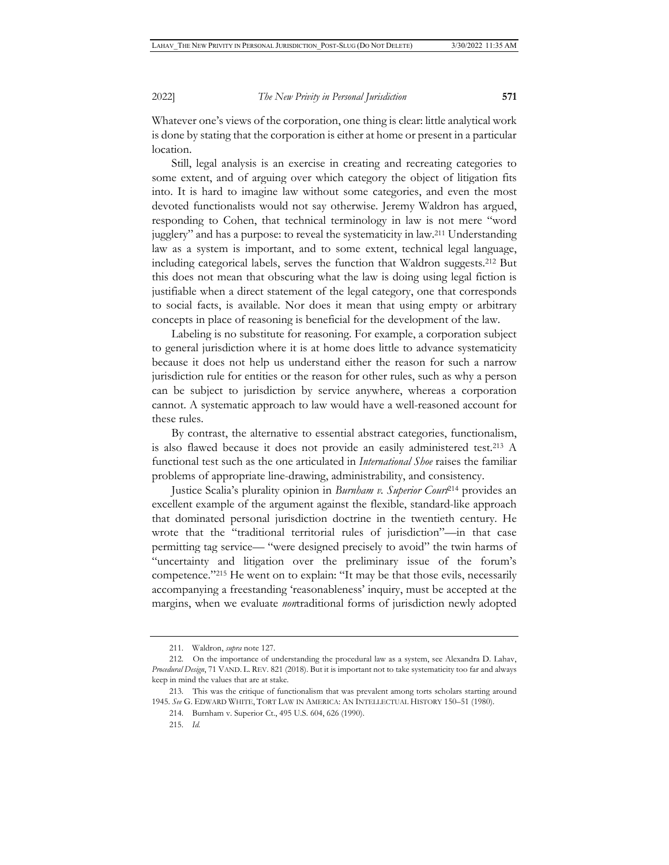Whatever one's views of the corporation, one thing is clear: little analytical work is done by stating that the corporation is either at home or present in a particular location.

Still, legal analysis is an exercise in creating and recreating categories to some extent, and of arguing over which category the object of litigation fits into. It is hard to imagine law without some categories, and even the most devoted functionalists would not say otherwise. Jeremy Waldron has argued, responding to Cohen, that technical terminology in law is not mere "word jugglery" and has a purpose: to reveal the systematicity in law.211 Understanding law as a system is important, and to some extent, technical legal language, including categorical labels, serves the function that Waldron suggests.212 But this does not mean that obscuring what the law is doing using legal fiction is justifiable when a direct statement of the legal category, one that corresponds to social facts, is available. Nor does it mean that using empty or arbitrary concepts in place of reasoning is beneficial for the development of the law.

Labeling is no substitute for reasoning. For example, a corporation subject to general jurisdiction where it is at home does little to advance systematicity because it does not help us understand either the reason for such a narrow jurisdiction rule for entities or the reason for other rules, such as why a person can be subject to jurisdiction by service anywhere, whereas a corporation cannot. A systematic approach to law would have a well-reasoned account for these rules.

By contrast, the alternative to essential abstract categories, functionalism, is also flawed because it does not provide an easily administered test.213 A functional test such as the one articulated in *International Shoe* raises the familiar problems of appropriate line-drawing, administrability, and consistency.

Justice Scalia's plurality opinion in *Burnham v. Superior Court*214 provides an excellent example of the argument against the flexible, standard-like approach that dominated personal jurisdiction doctrine in the twentieth century. He wrote that the "traditional territorial rules of jurisdiction"—in that case permitting tag service— "were designed precisely to avoid" the twin harms of "uncertainty and litigation over the preliminary issue of the forum's competence."215 He went on to explain: "It may be that those evils, necessarily accompanying a freestanding 'reasonableness' inquiry, must be accepted at the margins, when we evaluate *non*traditional forms of jurisdiction newly adopted

<sup>211.</sup> Waldron, *supra* note 127.

<sup>212.</sup> On the importance of understanding the procedural law as a system, see Alexandra D. Lahav, *Procedural Design*, 71 VAND. L. REV. 821 (2018). But it is important not to take systematicity too far and always keep in mind the values that are at stake.

<sup>213.</sup> This was the critique of functionalism that was prevalent among torts scholars starting around 1945. *See* G. EDWARD WHITE, TORT LAW IN AMERICA: AN INTELLECTUAL HISTORY 150–51 (1980).

<sup>214.</sup> Burnham v. Superior Ct., 495 U.S. 604, 626 (1990).

<sup>215.</sup> *Id.*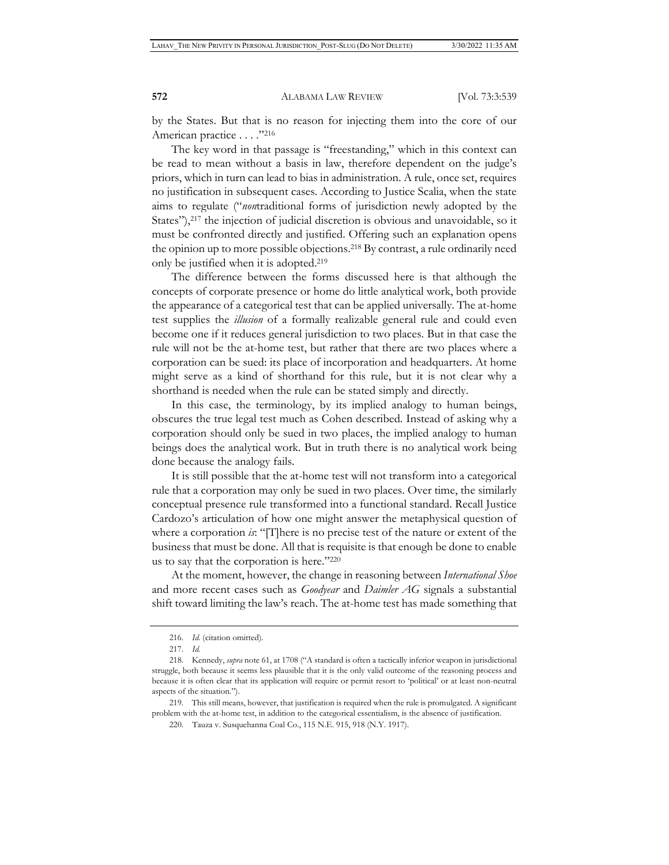by the States. But that is no reason for injecting them into the core of our American practice . . . . "216

The key word in that passage is "freestanding," which in this context can be read to mean without a basis in law, therefore dependent on the judge's priors, which in turn can lead to bias in administration. A rule, once set, requires no justification in subsequent cases. According to Justice Scalia, when the state aims to regulate ("*non*traditional forms of jurisdiction newly adopted by the States"),<sup>217</sup> the injection of judicial discretion is obvious and unavoidable, so it must be confronted directly and justified. Offering such an explanation opens the opinion up to more possible objections.218 By contrast, a rule ordinarily need only be justified when it is adopted.219

The difference between the forms discussed here is that although the concepts of corporate presence or home do little analytical work, both provide the appearance of a categorical test that can be applied universally. The at-home test supplies the *illusion* of a formally realizable general rule and could even become one if it reduces general jurisdiction to two places. But in that case the rule will not be the at-home test, but rather that there are two places where a corporation can be sued: its place of incorporation and headquarters. At home might serve as a kind of shorthand for this rule, but it is not clear why a shorthand is needed when the rule can be stated simply and directly.

In this case, the terminology, by its implied analogy to human beings, obscures the true legal test much as Cohen described. Instead of asking why a corporation should only be sued in two places, the implied analogy to human beings does the analytical work. But in truth there is no analytical work being done because the analogy fails.

It is still possible that the at-home test will not transform into a categorical rule that a corporation may only be sued in two places. Over time, the similarly conceptual presence rule transformed into a functional standard. Recall Justice Cardozo's articulation of how one might answer the metaphysical question of where a corporation *is*: "[T]here is no precise test of the nature or extent of the business that must be done. All that is requisite is that enough be done to enable us to say that the corporation is here."220

At the moment, however, the change in reasoning between *International Shoe* and more recent cases such as *Goodyear* and *Daimler AG* signals a substantial shift toward limiting the law's reach. The at-home test has made something that

219. This still means, however, that justification is required when the rule is promulgated. A significant problem with the at-home test, in addition to the categorical essentialism, is the absence of justification.

<sup>216.</sup> *Id.* (citation omitted)*.*

<sup>217.</sup> *Id.*

<sup>218.</sup> Kennedy, *supra* note 61, at 1708 ("A standard is often a tactically inferior weapon in jurisdictional struggle, both because it seems less plausible that it is the only valid outcome of the reasoning process and because it is often clear that its application will require or permit resort to 'political' or at least non-neutral aspects of the situation.").

<sup>220.</sup> Tauza v. Susquehanna Coal Co., 115 N.E. 915, 918 (N.Y. 1917).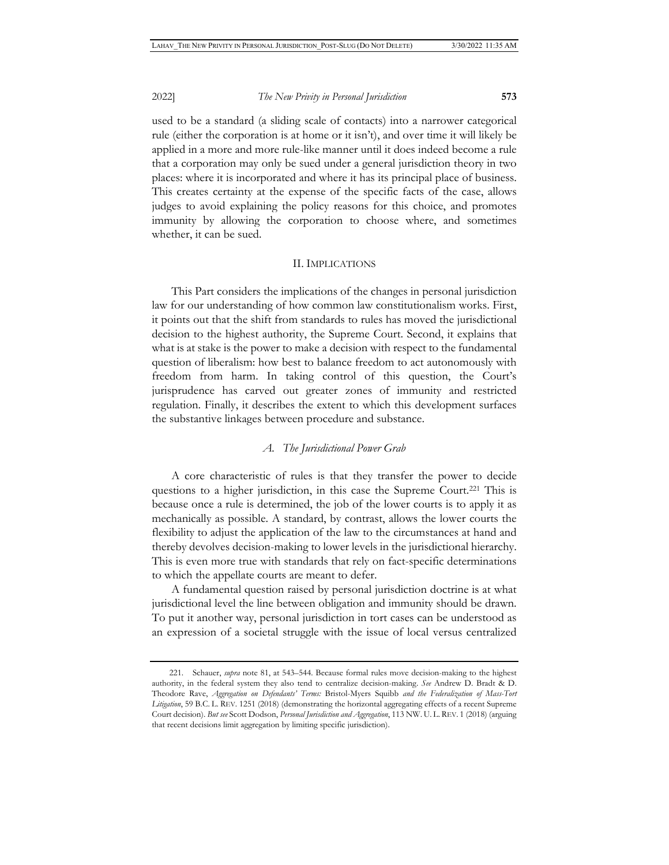used to be a standard (a sliding scale of contacts) into a narrower categorical rule (either the corporation is at home or it isn't), and over time it will likely be applied in a more and more rule-like manner until it does indeed become a rule that a corporation may only be sued under a general jurisdiction theory in two places: where it is incorporated and where it has its principal place of business. This creates certainty at the expense of the specific facts of the case, allows judges to avoid explaining the policy reasons for this choice, and promotes immunity by allowing the corporation to choose where, and sometimes whether, it can be sued.

#### II. IMPLICATIONS

This Part considers the implications of the changes in personal jurisdiction law for our understanding of how common law constitutionalism works. First, it points out that the shift from standards to rules has moved the jurisdictional decision to the highest authority, the Supreme Court. Second, it explains that what is at stake is the power to make a decision with respect to the fundamental question of liberalism: how best to balance freedom to act autonomously with freedom from harm. In taking control of this question, the Court's jurisprudence has carved out greater zones of immunity and restricted regulation. Finally, it describes the extent to which this development surfaces the substantive linkages between procedure and substance.

#### *A. The Jurisdictional Power Grab*

A core characteristic of rules is that they transfer the power to decide questions to a higher jurisdiction, in this case the Supreme Court.221 This is because once a rule is determined, the job of the lower courts is to apply it as mechanically as possible. A standard, by contrast, allows the lower courts the flexibility to adjust the application of the law to the circumstances at hand and thereby devolves decision-making to lower levels in the jurisdictional hierarchy. This is even more true with standards that rely on fact-specific determinations to which the appellate courts are meant to defer.

A fundamental question raised by personal jurisdiction doctrine is at what jurisdictional level the line between obligation and immunity should be drawn. To put it another way, personal jurisdiction in tort cases can be understood as an expression of a societal struggle with the issue of local versus centralized

<sup>221.</sup> Schauer, *supra* note 81, at 543–544. Because formal rules move decision-making to the highest authority, in the federal system they also tend to centralize decision-making. *See* Andrew D. Bradt & D. Theodore Rave, *Aggregation on Defendants' Terms:* Bristol-Myers Squibb *and the Federalization of Mass-Tort Litigation*, 59 B.C. L. REV. 1251 (2018) (demonstrating the horizontal aggregating effects of a recent Supreme Court decision). *But see* Scott Dodson, *Personal Jurisdiction and Aggregation*, 113 NW. U. L. REV. 1 (2018) (arguing that recent decisions limit aggregation by limiting specific jurisdiction).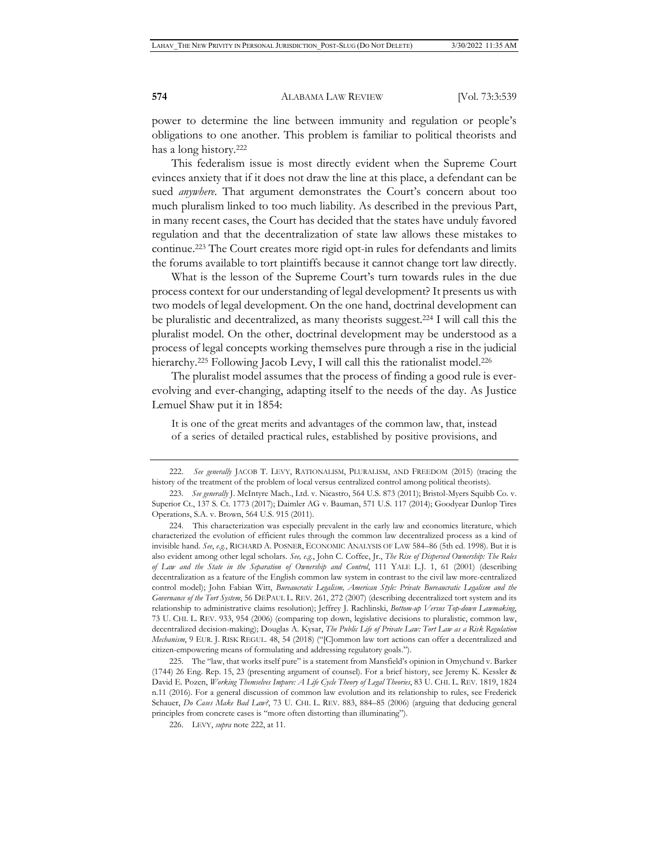power to determine the line between immunity and regulation or people's obligations to one another. This problem is familiar to political theorists and has a long history.222

This federalism issue is most directly evident when the Supreme Court evinces anxiety that if it does not draw the line at this place, a defendant can be sued *anywhere*. That argument demonstrates the Court's concern about too much pluralism linked to too much liability. As described in the previous Part, in many recent cases, the Court has decided that the states have unduly favored regulation and that the decentralization of state law allows these mistakes to continue.223 The Court creates more rigid opt-in rules for defendants and limits the forums available to tort plaintiffs because it cannot change tort law directly.

What is the lesson of the Supreme Court's turn towards rules in the due process context for our understanding of legal development? It presents us with two models of legal development. On the one hand, doctrinal development can be pluralistic and decentralized, as many theorists suggest.224 I will call this the pluralist model. On the other, doctrinal development may be understood as a process of legal concepts working themselves pure through a rise in the judicial hierarchy.<sup>225</sup> Following Jacob Levy, I will call this the rationalist model.<sup>226</sup>

The pluralist model assumes that the process of finding a good rule is everevolving and ever-changing, adapting itself to the needs of the day. As Justice Lemuel Shaw put it in 1854:

It is one of the great merits and advantages of the common law, that, instead of a series of detailed practical rules, established by positive provisions, and

225. The "law, that works itself pure" is a statement from Mansfield's opinion in Omychund v. Barker (1744) 26 Eng. Rep. 15, 23 (presenting argument of counsel). For a brief history, see Jeremy K. Kessler & David E. Pozen, *Working Themselves Impure: A Life Cycle Theory of Legal Theories*, 83 U. CHI. L. REV. 1819, 1824 n.11 (2016). For a general discussion of common law evolution and its relationship to rules, see Frederick Schauer, *Do Cases Make Bad Law?*, 73 U. CHI. L. REV. 883, 884–85 (2006) (arguing that deducing general principles from concrete cases is "more often distorting than illuminating").

226. LEVY, *supra* note 222, at 11.

<sup>222.</sup> *See generally* JACOB T. LEVY, RATIONALISM, PLURALISM, AND FREEDOM (2015) (tracing the history of the treatment of the problem of local versus centralized control among political theorists).

<sup>223.</sup> *See generally* J. McIntyre Mach., Ltd. v. Nicastro, 564 U.S. 873 (2011); Bristol-Myers Squibb Co. v. Superior Ct., 137 S. Ct. 1773 (2017); Daimler AG v. Bauman, 571 U.S. 117 (2014); Goodyear Dunlop Tires Operations, S.A. v. Brown, 564 U.S. 915 (2011).

<sup>224.</sup> This characterization was especially prevalent in the early law and economics literature, which characterized the evolution of efficient rules through the common law decentralized process as a kind of invisible hand. *See*, *e.g.*, RICHARD A. POSNER, ECONOMIC ANALYSIS OF LAW 584–86 (5th ed. 1998). But it is also evident among other legal scholars. *See, e.g.*, John C. Coffee, Jr., *The Rise of Dispersed Ownership: The Roles of Law and the State in the Separation of Ownership and Control*, 111 YALE L.J. 1, 61 (2001) (describing decentralization as a feature of the English common law system in contrast to the civil law more-centralized control model); John Fabian Witt, *Bureaucratic Legalism, American Style: Private Bureaucratic Legalism and the Governance of the Tort System*, 56 DEPAUL L. REV. 261, 272 (2007) (describing decentralized tort system and its relationship to administrative claims resolution); Jeffrey J. Rachlinski, *Bottom-up Versus Top-down Lawmaking*, 73 U. CHI. L. REV. 933, 954 (2006) (comparing top down, legislative decisions to pluralistic, common law, decentralized decision-making); Douglas A. Kysar, *The Public Life of Private Law: Tort Law as a Risk Regulation Mechanism*, 9 EUR. J. RISK REGUL. 48, 54 (2018) ("[C]ommon law tort actions can offer a decentralized and citizen-empowering means of formulating and addressing regulatory goals.").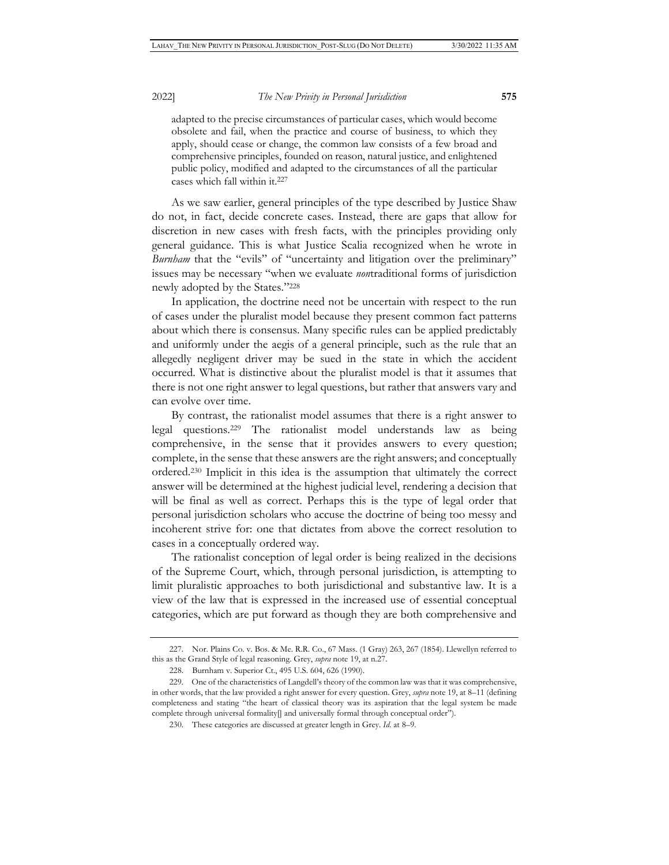adapted to the precise circumstances of particular cases, which would become obsolete and fail, when the practice and course of business, to which they apply, should cease or change, the common law consists of a few broad and comprehensive principles, founded on reason, natural justice, and enlightened public policy, modified and adapted to the circumstances of all the particular cases which fall within it.227

As we saw earlier, general principles of the type described by Justice Shaw do not, in fact, decide concrete cases. Instead, there are gaps that allow for discretion in new cases with fresh facts, with the principles providing only general guidance. This is what Justice Scalia recognized when he wrote in *Burnham* that the "evils" of "uncertainty and litigation over the preliminary" issues may be necessary "when we evaluate *non*traditional forms of jurisdiction newly adopted by the States."228

In application, the doctrine need not be uncertain with respect to the run of cases under the pluralist model because they present common fact patterns about which there is consensus. Many specific rules can be applied predictably and uniformly under the aegis of a general principle, such as the rule that an allegedly negligent driver may be sued in the state in which the accident occurred. What is distinctive about the pluralist model is that it assumes that there is not one right answer to legal questions, but rather that answers vary and can evolve over time.

By contrast, the rationalist model assumes that there is a right answer to legal questions.229 The rationalist model understands law as being comprehensive, in the sense that it provides answers to every question; complete, in the sense that these answers are the right answers; and conceptually ordered.230 Implicit in this idea is the assumption that ultimately the correct answer will be determined at the highest judicial level, rendering a decision that will be final as well as correct. Perhaps this is the type of legal order that personal jurisdiction scholars who accuse the doctrine of being too messy and incoherent strive for: one that dictates from above the correct resolution to cases in a conceptually ordered way.

The rationalist conception of legal order is being realized in the decisions of the Supreme Court, which, through personal jurisdiction, is attempting to limit pluralistic approaches to both jurisdictional and substantive law. It is a view of the law that is expressed in the increased use of essential conceptual categories, which are put forward as though they are both comprehensive and

<sup>227.</sup> Nor. Plains Co. v. Bos. & Me. R.R. Co., 67 Mass. (1 Gray) 263, 267 (1854). Llewellyn referred to this as the Grand Style of legal reasoning. Grey, *supra* note 19, at n.27.

<sup>228.</sup> Burnham v. Superior Ct., 495 U.S. 604, 626 (1990).

<sup>229.</sup> One of the characteristics of Langdell's theory of the common law was that it was comprehensive, in other words, that the law provided a right answer for every question. Grey, *supra* note 19, at 8–11 (defining completeness and stating "the heart of classical theory was its aspiration that the legal system be made complete through universal formality[] and universally formal through conceptual order").

<sup>230.</sup> These categories are discussed at greater length in Grey. *Id.* at 8–9.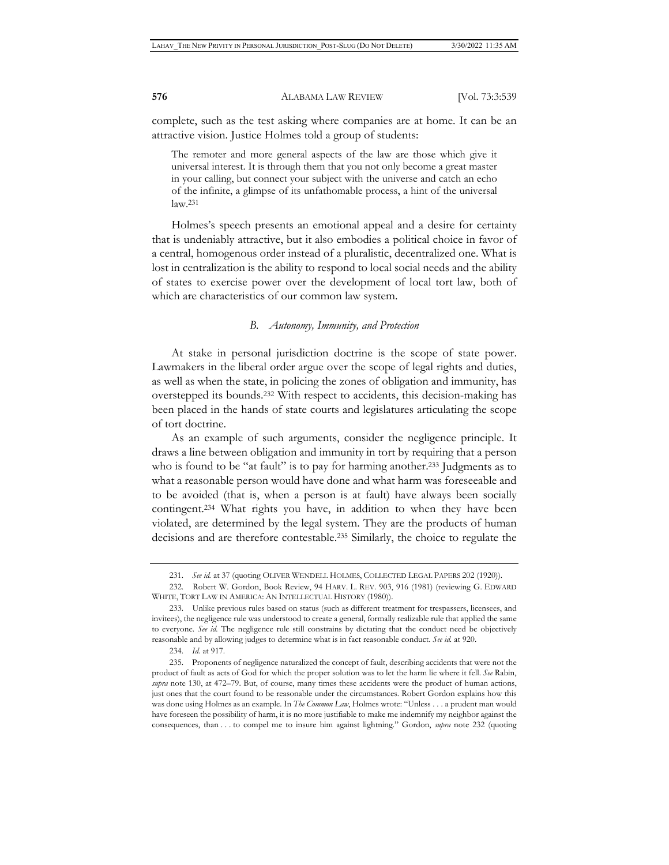complete, such as the test asking where companies are at home. It can be an attractive vision. Justice Holmes told a group of students:

The remoter and more general aspects of the law are those which give it universal interest. It is through them that you not only become a great master in your calling, but connect your subject with the universe and catch an echo of the infinite, a glimpse of its unfathomable process, a hint of the universal  $law.<sup>231</sup>$ 

Holmes's speech presents an emotional appeal and a desire for certainty that is undeniably attractive, but it also embodies a political choice in favor of a central, homogenous order instead of a pluralistic, decentralized one. What is lost in centralization is the ability to respond to local social needs and the ability of states to exercise power over the development of local tort law, both of which are characteristics of our common law system.

#### *B. Autonomy, Immunity, and Protection*

At stake in personal jurisdiction doctrine is the scope of state power. Lawmakers in the liberal order argue over the scope of legal rights and duties, as well as when the state, in policing the zones of obligation and immunity, has overstepped its bounds.232 With respect to accidents, this decision-making has been placed in the hands of state courts and legislatures articulating the scope of tort doctrine.

As an example of such arguments, consider the negligence principle. It draws a line between obligation and immunity in tort by requiring that a person who is found to be "at fault" is to pay for harming another.<sup>233</sup> Judgments as to what a reasonable person would have done and what harm was foreseeable and to be avoided (that is, when a person is at fault) have always been socially contingent.234 What rights you have, in addition to when they have been violated, are determined by the legal system. They are the products of human decisions and are therefore contestable.235 Similarly, the choice to regulate the

<sup>231.</sup> *See id.* at 37 (quoting OLIVER WENDELL HOLMES, COLLECTED LEGAL PAPERS 202 (1920)).

<sup>232.</sup> Robert W. Gordon, Book Review, 94 HARV. L. REV. 903, 916 (1981) (reviewing G. EDWARD WHITE, TORT LAW IN AMERICA: AN INTELLECTUAL HISTORY (1980)).

<sup>233.</sup> Unlike previous rules based on status (such as different treatment for trespassers, licensees, and invitees), the negligence rule was understood to create a general, formally realizable rule that applied the same to everyone. *See id.* The negligence rule still constrains by dictating that the conduct need be objectively reasonable and by allowing judges to determine what is in fact reasonable conduct. *See id.* at 920.

<sup>234.</sup> *Id.* at 917.

<sup>235.</sup> Proponents of negligence naturalized the concept of fault, describing accidents that were not the product of fault as acts of God for which the proper solution was to let the harm lie where it fell. *See* Rabin, *supra* note 130, at 472–79. But, of course, many times these accidents were the product of human actions, just ones that the court found to be reasonable under the circumstances. Robert Gordon explains how this was done using Holmes as an example. In *The Common Law*, Holmes wrote: "Unless . . . a prudent man would have foreseen the possibility of harm, it is no more justifiable to make me indemnify my neighbor against the consequences, than . . . to compel me to insure him against lightning." Gordon, *supra* note 232 (quoting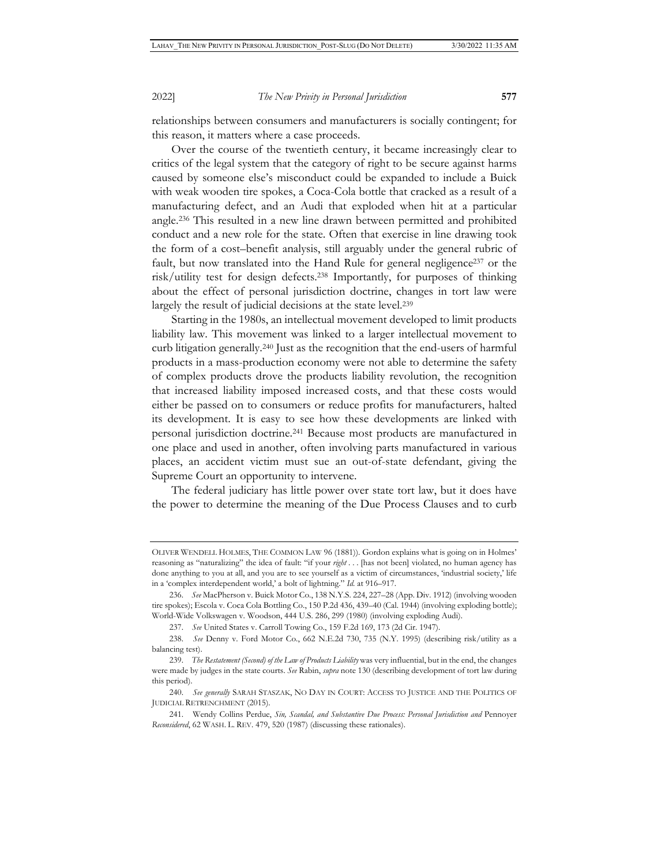relationships between consumers and manufacturers is socially contingent; for this reason, it matters where a case proceeds.

Over the course of the twentieth century, it became increasingly clear to critics of the legal system that the category of right to be secure against harms caused by someone else's misconduct could be expanded to include a Buick with weak wooden tire spokes, a Coca-Cola bottle that cracked as a result of a manufacturing defect, and an Audi that exploded when hit at a particular angle.236 This resulted in a new line drawn between permitted and prohibited conduct and a new role for the state. Often that exercise in line drawing took the form of a cost–benefit analysis, still arguably under the general rubric of fault, but now translated into the Hand Rule for general negligence<sup>237</sup> or the risk/utility test for design defects.238 Importantly, for purposes of thinking about the effect of personal jurisdiction doctrine, changes in tort law were largely the result of judicial decisions at the state level.<sup>239</sup>

Starting in the 1980s, an intellectual movement developed to limit products liability law. This movement was linked to a larger intellectual movement to curb litigation generally.240 Just as the recognition that the end-users of harmful products in a mass-production economy were not able to determine the safety of complex products drove the products liability revolution, the recognition that increased liability imposed increased costs, and that these costs would either be passed on to consumers or reduce profits for manufacturers, halted its development. It is easy to see how these developments are linked with personal jurisdiction doctrine.241 Because most products are manufactured in one place and used in another, often involving parts manufactured in various places, an accident victim must sue an out-of-state defendant, giving the Supreme Court an opportunity to intervene.

The federal judiciary has little power over state tort law, but it does have the power to determine the meaning of the Due Process Clauses and to curb

OLIVER WENDELL HOLMES, THE COMMON LAW 96 (1881)). Gordon explains what is going on in Holmes' reasoning as "naturalizing" the idea of fault: "if your *right* . . . [has not been] violated, no human agency has done anything to you at all, and you are to see yourself as a victim of circumstances, 'industrial society,' life in a 'complex interdependent world,' a bolt of lightning." *Id.* at 916–917.

<sup>236.</sup> *See* MacPherson v. Buick Motor Co., 138 N.Y.S. 224, 227–28 (App. Div. 1912) (involving wooden tire spokes); Escola v. Coca Cola Bottling Co., 150 P.2d 436, 439–40 (Cal. 1944) (involving exploding bottle); World-Wide Volkswagen v. Woodson, 444 U.S. 286, 299 (1980) (involving exploding Audi).

<sup>237.</sup> *See* United States v. Carroll Towing Co., 159 F.2d 169, 173 (2d Cir. 1947).

<sup>238.</sup> *See* Denny v. Ford Motor Co., 662 N.E.2d 730, 735 (N.Y. 1995) (describing risk/utility as a balancing test).

<sup>239.</sup> *The Restatement (Second) of the Law of Products Liability* was very influential, but in the end, the changes were made by judges in the state courts. *See* Rabin, *supra* note 130 (describing development of tort law during this period).

<sup>240.</sup> *See generally* SARAH STASZAK, NO DAY IN COURT: ACCESS TO JUSTICE AND THE POLITICS OF JUDICIAL RETRENCHMENT (2015).

<sup>241.</sup> Wendy Collins Perdue, *Sin, Scandal, and Substantive Due Process: Personal Jurisdiction and* Pennoyer *Reconsidered*, 62 WASH. L. REV. 479, 520 (1987) (discussing these rationales).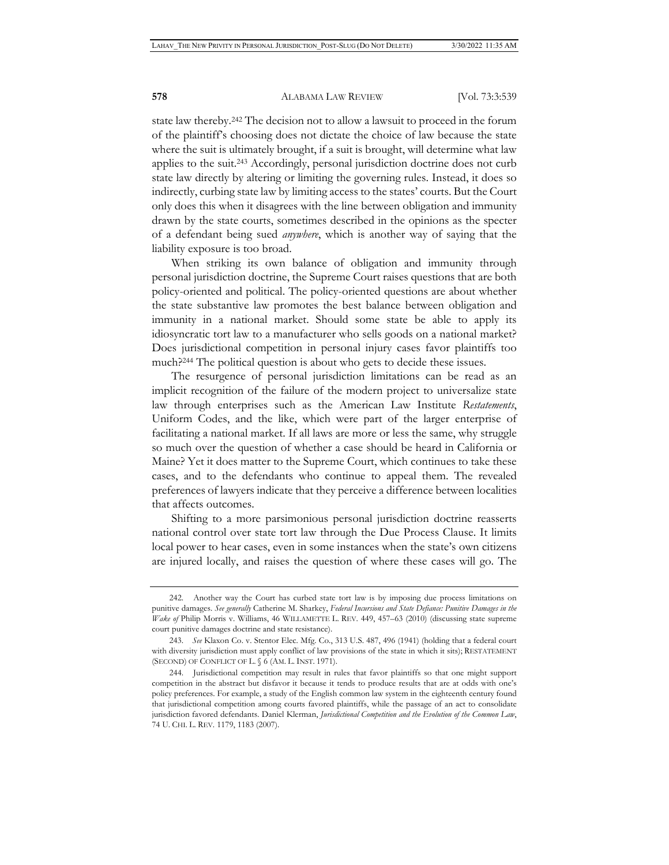state law thereby.242 The decision not to allow a lawsuit to proceed in the forum of the plaintiff's choosing does not dictate the choice of law because the state where the suit is ultimately brought, if a suit is brought, will determine what law applies to the suit.243 Accordingly, personal jurisdiction doctrine does not curb state law directly by altering or limiting the governing rules. Instead, it does so indirectly, curbing state law by limiting access to the states' courts. But the Court only does this when it disagrees with the line between obligation and immunity drawn by the state courts, sometimes described in the opinions as the specter of a defendant being sued *anywhere*, which is another way of saying that the liability exposure is too broad.

When striking its own balance of obligation and immunity through personal jurisdiction doctrine, the Supreme Court raises questions that are both policy-oriented and political. The policy-oriented questions are about whether the state substantive law promotes the best balance between obligation and immunity in a national market. Should some state be able to apply its idiosyncratic tort law to a manufacturer who sells goods on a national market? Does jurisdictional competition in personal injury cases favor plaintiffs too much?244 The political question is about who gets to decide these issues.

The resurgence of personal jurisdiction limitations can be read as an implicit recognition of the failure of the modern project to universalize state law through enterprises such as the American Law Institute *Restatements*, Uniform Codes, and the like, which were part of the larger enterprise of facilitating a national market. If all laws are more or less the same, why struggle so much over the question of whether a case should be heard in California or Maine? Yet it does matter to the Supreme Court, which continues to take these cases, and to the defendants who continue to appeal them. The revealed preferences of lawyers indicate that they perceive a difference between localities that affects outcomes.

Shifting to a more parsimonious personal jurisdiction doctrine reasserts national control over state tort law through the Due Process Clause. It limits local power to hear cases, even in some instances when the state's own citizens are injured locally, and raises the question of where these cases will go. The

<sup>242.</sup> Another way the Court has curbed state tort law is by imposing due process limitations on punitive damages. *See generally* Catherine M. Sharkey, *Federal Incursions and State Defiance: Punitive Damages in the Wake of* Philip Morris v. Williams, 46 WILLAMETTE L. REV. 449, 457–63 (2010) (discussing state supreme court punitive damages doctrine and state resistance).

<sup>243.</sup> *See* Klaxon Co. v. Stentor Elec. Mfg. Co., 313 U.S. 487, 496 (1941) (holding that a federal court with diversity jurisdiction must apply conflict of law provisions of the state in which it sits); RESTATEMENT (SECOND) OF CONFLICT OF L. § 6 (AM. L. INST. 1971).

<sup>244.</sup> Jurisdictional competition may result in rules that favor plaintiffs so that one might support competition in the abstract but disfavor it because it tends to produce results that are at odds with one's policy preferences. For example, a study of the English common law system in the eighteenth century found that jurisdictional competition among courts favored plaintiffs, while the passage of an act to consolidate jurisdiction favored defendants. Daniel Klerman, *Jurisdictional Competition and the Evolution of the Common Law*, 74 U. CHI. L. REV. 1179, 1183 (2007).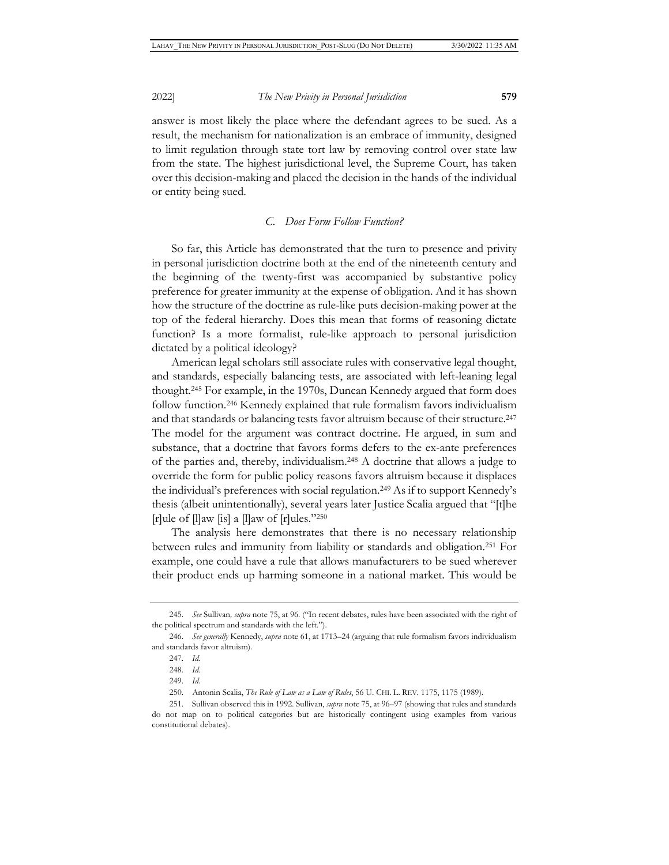answer is most likely the place where the defendant agrees to be sued. As a result, the mechanism for nationalization is an embrace of immunity, designed to limit regulation through state tort law by removing control over state law from the state. The highest jurisdictional level, the Supreme Court, has taken over this decision-making and placed the decision in the hands of the individual or entity being sued.

#### *C. Does Form Follow Function?*

So far, this Article has demonstrated that the turn to presence and privity in personal jurisdiction doctrine both at the end of the nineteenth century and the beginning of the twenty-first was accompanied by substantive policy preference for greater immunity at the expense of obligation. And it has shown how the structure of the doctrine as rule-like puts decision-making power at the top of the federal hierarchy. Does this mean that forms of reasoning dictate function? Is a more formalist, rule-like approach to personal jurisdiction dictated by a political ideology?

American legal scholars still associate rules with conservative legal thought, and standards, especially balancing tests, are associated with left-leaning legal thought.245 For example, in the 1970s, Duncan Kennedy argued that form does follow function.246 Kennedy explained that rule formalism favors individualism and that standards or balancing tests favor altruism because of their structure.247 The model for the argument was contract doctrine. He argued, in sum and substance, that a doctrine that favors forms defers to the ex-ante preferences of the parties and, thereby, individualism.248 A doctrine that allows a judge to override the form for public policy reasons favors altruism because it displaces the individual's preferences with social regulation.249 As if to support Kennedy's thesis (albeit unintentionally), several years later Justice Scalia argued that "[t]he [r]ule of  $\lbrack \rbrack$ ]aw [is] a  $\lbrack \rbrack$ ]aw of [r]ules."250

The analysis here demonstrates that there is no necessary relationship between rules and immunity from liability or standards and obligation.251 For example, one could have a rule that allows manufacturers to be sued wherever their product ends up harming someone in a national market. This would be

<sup>245.</sup> *See* Sullivan*, supra* note 75, at 96. ("In recent debates, rules have been associated with the right of the political spectrum and standards with the left.").

<sup>246.</sup> *See generally* Kennedy, *supra* note 61, at 1713–24 (arguing that rule formalism favors individualism and standards favor altruism).

<sup>247.</sup> *Id.*

<sup>248.</sup> *Id.*

<sup>249.</sup> *Id.*

<sup>250.</sup> Antonin Scalia, *The Rule of Law as a Law of Rules*, 56 U. CHI. L. REV. 1175, 1175 (1989).

<sup>251.</sup> Sullivan observed this in 1992. Sullivan, *supra* note 75, at 96–97 (showing that rules and standards do not map on to political categories but are historically contingent using examples from various constitutional debates).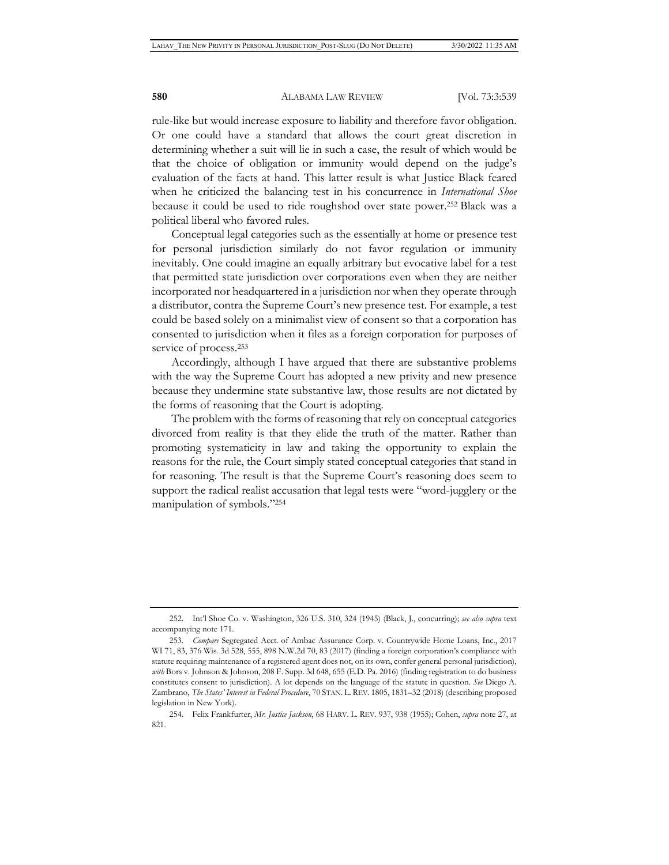rule-like but would increase exposure to liability and therefore favor obligation. Or one could have a standard that allows the court great discretion in determining whether a suit will lie in such a case, the result of which would be that the choice of obligation or immunity would depend on the judge's evaluation of the facts at hand. This latter result is what Justice Black feared when he criticized the balancing test in his concurrence in *International Shoe* because it could be used to ride roughshod over state power.252 Black was a political liberal who favored rules.

Conceptual legal categories such as the essentially at home or presence test for personal jurisdiction similarly do not favor regulation or immunity inevitably. One could imagine an equally arbitrary but evocative label for a test that permitted state jurisdiction over corporations even when they are neither incorporated nor headquartered in a jurisdiction nor when they operate through a distributor, contra the Supreme Court's new presence test. For example, a test could be based solely on a minimalist view of consent so that a corporation has consented to jurisdiction when it files as a foreign corporation for purposes of service of process.253

Accordingly, although I have argued that there are substantive problems with the way the Supreme Court has adopted a new privity and new presence because they undermine state substantive law, those results are not dictated by the forms of reasoning that the Court is adopting.

The problem with the forms of reasoning that rely on conceptual categories divorced from reality is that they elide the truth of the matter. Rather than promoting systematicity in law and taking the opportunity to explain the reasons for the rule, the Court simply stated conceptual categories that stand in for reasoning. The result is that the Supreme Court's reasoning does seem to support the radical realist accusation that legal tests were "word-jugglery or the manipulation of symbols."254

<sup>252.</sup> Int'l Shoe Co. v. Washington, 326 U.S. 310, 324 (1945) (Black, J., concurring); *see also supra* text accompanying note 171.

<sup>253.</sup> *Compare* Segregated Acct. of Ambac Assurance Corp. v. Countrywide Home Loans, Inc., 2017 WI 71, 83, 376 Wis. 3d 528, 555, 898 N.W.2d 70, 83 (2017) (finding a foreign corporation's compliance with statute requiring maintenance of a registered agent does not, on its own, confer general personal jurisdiction), *with* Bors v. Johnson & Johnson, 208 F. Supp. 3d 648, 655 (E.D. Pa. 2016) (finding registration to do business constitutes consent to jurisdiction). A lot depends on the language of the statute in question. *See* Diego A. Zambrano, *The States' Interest in Federal Procedure*, 70 STAN. L. REV. 1805, 1831–32 (2018) (describing proposed legislation in New York).

<sup>254.</sup> Felix Frankfurter, *Mr. Justice Jackson*, 68 HARV. L. REV. 937, 938 (1955); Cohen, *supra* note 27, at 821.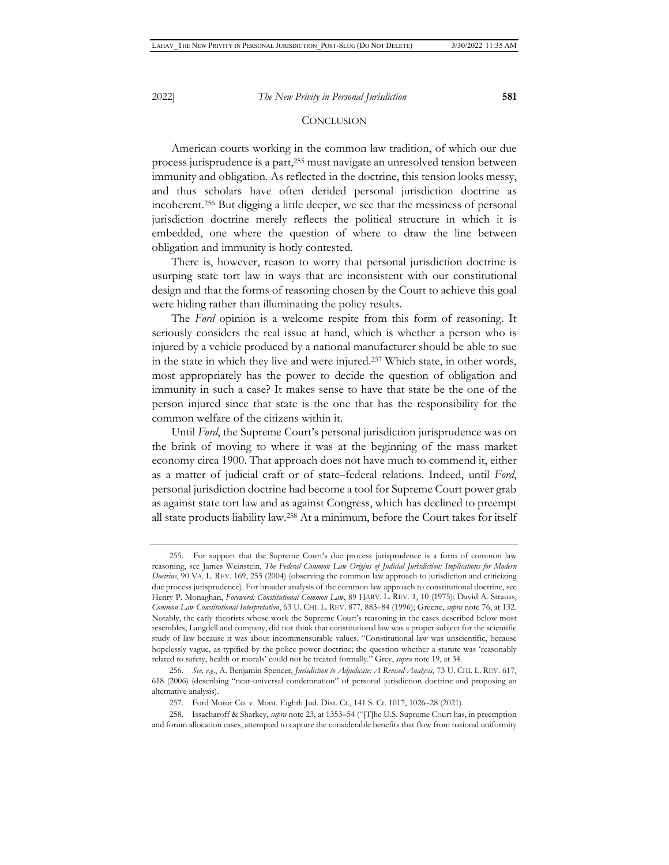#### **CONCLUSION**

American courts working in the common law tradition, of which our due process jurisprudence is a part,255 must navigate an unresolved tension between immunity and obligation. As reflected in the doctrine, this tension looks messy, and thus scholars have often derided personal jurisdiction doctrine as incoherent.256 But digging a little deeper, we see that the messiness of personal jurisdiction doctrine merely reflects the political structure in which it is embedded, one where the question of where to draw the line between obligation and immunity is hotly contested.

There is, however, reason to worry that personal jurisdiction doctrine is usurping state tort law in ways that are inconsistent with our constitutional design and that the forms of reasoning chosen by the Court to achieve this goal were hiding rather than illuminating the policy results.

The *Ford* opinion is a welcome respite from this form of reasoning. It seriously considers the real issue at hand, which is whether a person who is injured by a vehicle produced by a national manufacturer should be able to sue in the state in which they live and were injured.257 Which state, in other words, most appropriately has the power to decide the question of obligation and immunity in such a case? It makes sense to have that state be the one of the person injured since that state is the one that has the responsibility for the common welfare of the citizens within it.

Until *Ford*, the Supreme Court's personal jurisdiction jurisprudence was on the brink of moving to where it was at the beginning of the mass market economy circa 1900. That approach does not have much to commend it, either as a matter of judicial craft or of state–federal relations. Indeed, until *Ford*, personal jurisdiction doctrine had become a tool for Supreme Court power grab as against state tort law and as against Congress, which has declined to preempt all state products liability law.258 At a minimum, before the Court takes for itself

<sup>255.</sup> For support that the Supreme Court's due process jurisprudence is a form of common law reasoning, see James Weinstein, *The Federal Common Law Origins of Judicial Jurisdiction: Implications for Modern Doctrine*, 90 VA. L. REV. 169, 255 (2004) (observing the common law approach to jurisdiction and criticizing due process jurisprudence). For broader analysis of the common law approach to constitutional doctrine, see Henry P. Monaghan, *Foreword: Constitutional Common Law*, 89 HARV. L. REV. 1, 10 (1975); David A. Strauss, *Common Law Constitutional Interpretation*, 63 U. CHI. L. REV. 877, 883–84 (1996); Greene, *supra* note 76, at 132. Notably, the early theorists whose work the Supreme Court's reasoning in the cases described below most resembles, Langdell and company, did not think that constitutional law was a proper subject for the scientific study of law because it was about incommensurable values. "Constitutional law was unscientific, because hopelessly vague, as typified by the police power doctrine; the question whether a statute was 'reasonably related to safety, health or morals' could not be treated formally." Grey, *supra* note 19, at 34.

<sup>256.</sup> *See, e.g*., A. Benjamin Spencer, *Jurisdiction to Adjudicate: A Revised Analysis*, 73 U. CHI. L. REV. 617, 618 (2006) (describing "near-universal condemnation" of personal jurisdiction doctrine and proposing an alternative analysis).

<sup>257.</sup> Ford Motor Co. v. Mont. Eighth Jud. Dist. Ct., 141 S. Ct. 1017, 1026–28 (2021).

<sup>258.</sup> Issacharoff & Sharkey, *supra* note 23, at 1353–54 ("[T]he U.S. Supreme Court has, in preemption and forum allocation cases, attempted to capture the considerable benefits that flow from national uniformity